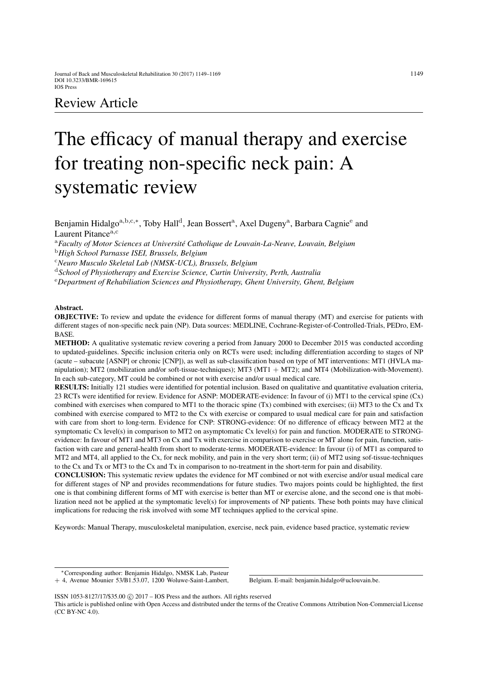# Review Article

# The efficacy of manual therapy and exercise for treating non-specific neck pain: A systematic review

Benjamin Hidalgo<sup>a,b,c,</sup>\*, Toby Hall<sup>d</sup>, Jean Bossert<sup>a</sup>, Axel Dugeny<sup>a</sup>, Barbara Cagnie<sup>e</sup> and Laurent Pitance<sup>a,c</sup>

<sup>a</sup>*Faculty of Motor Sciences at Université Catholique de Louvain-La-Neuve, Louvain, Belgium*

<sup>b</sup>*High School Parnasse ISEI, Brussels, Belgium*

<sup>c</sup>*Neuro Musculo Skeletal Lab (NMSK-UCL), Brussels, Belgium*

<sup>d</sup>*School of Physiotherapy and Exercise Science, Curtin University, Perth, Australia*

<sup>e</sup>*Department of Rehabiliation Sciences and Physiotherapy, Ghent University, Ghent, Belgium*

# Abstract.

OBJECTIVE: To review and update the evidence for different forms of manual therapy (MT) and exercise for patients with different stages of non-specific neck pain (NP). Data sources: MEDLINE, Cochrane-Register-of-Controlled-Trials, PEDro, EM-BASE.

METHOD: A qualitative systematic review covering a period from January 2000 to December 2015 was conducted according to updated-guidelines. Specific inclusion criteria only on RCTs were used; including differentiation according to stages of NP (acute – subacute [ASNP] or chronic [CNP]), as well as sub-classification based on type of MT interventions: MT1 (HVLA manipulation); MT2 (mobilization and/or soft-tissue-techniques); MT3 (MT1 + MT2); and MT4 (Mobilization-with-Movement). In each sub-category, MT could be combined or not with exercise and/or usual medical care.

RESULTS: Initially 121 studies were identified for potential inclusion. Based on qualitative and quantitative evaluation criteria, 23 RCTs were identified for review. Evidence for ASNP: MODERATE-evidence: In favour of (i) MT1 to the cervical spine (Cx) combined with exercises when compared to MT1 to the thoracic spine (Tx) combined with exercises; (ii) MT3 to the Cx and Tx combined with exercise compared to MT2 to the Cx with exercise or compared to usual medical care for pain and satisfaction with care from short to long-term. Evidence for CNP: STRONG-evidence: Of no difference of efficacy between MT2 at the symptomatic Cx level(s) in comparison to MT2 on asymptomatic Cx level(s) for pain and function. MODERATE to STRONGevidence: In favour of MT1 and MT3 on Cx and Tx with exercise in comparison to exercise or MT alone for pain, function, satisfaction with care and general-health from short to moderate-terms. MODERATE-evidence: In favour (i) of MT1 as compared to MT2 and MT4, all applied to the Cx, for neck mobility, and pain in the very short term; (ii) of MT2 using sof-tissue-techniques to the Cx and Tx or MT3 to the Cx and Tx in comparison to no-treatment in the short-term for pain and disability.

CONCLUSION: This systematic review updates the evidence for MT combined or not with exercise and/or usual medical care for different stages of NP and provides recommendations for future studies. Two majors points could be highlighted, the first one is that combining different forms of MT with exercise is better than MT or exercise alone, and the second one is that mobilization need not be applied at the symptomatic level(s) for improvements of NP patients. These both points may have clinical implications for reducing the risk involved with some MT techniques applied to the cervical spine.

Keywords: Manual Therapy, musculoskeletal manipulation, exercise, neck pain, evidence based practice, systematic review

ISSN 1053-8127/17/\$35.00  $\odot$  2017 – IOS Press and the authors. All rights reserved

This article is published online with Open Access and distributed under the terms of the Creative Commons Attribution Non-Commercial License (CC BY-NC 4.0).

<sup>∗</sup>Corresponding author: Benjamin Hidalgo, NMSK Lab, Pasteur

<sup>+</sup> 4, Avenue Mounier 53/B1.53.07, 1200 Woluwe-Saint-Lambert, Belgium. E-mail: benjamin.hidalgo@uclouvain.be.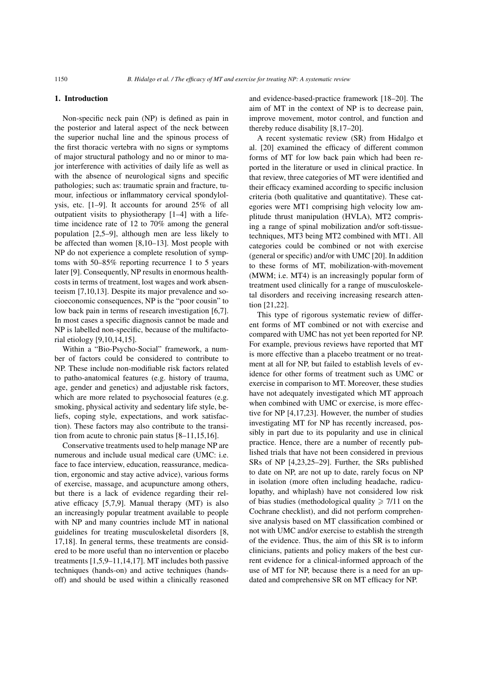# 1. Introduction

Non-specific neck pain (NP) is defined as pain in the posterior and lateral aspect of the neck between the superior nuchal line and the spinous process of the first thoracic vertebra with no signs or symptoms of major structural pathology and no or minor to major interference with activities of daily life as well as with the absence of neurological signs and specific pathologies; such as: traumatic sprain and fracture, tumour, infectious or inflammatory cervical spondylolysis, etc. [\[1](#page-14-0)[–9\]](#page-15-0). It accounts for around 25% of all outpatient visits to physiotherapy [\[1](#page-14-0)[–4\]](#page-15-1) with a lifetime incidence rate of 12 to 70% among the general population [\[2,](#page-15-2)[5](#page-15-3)[–9\]](#page-15-0), although men are less likely to be affected than women [\[8,](#page-15-4)[10–](#page-15-5)[13\]](#page-15-6). Most people with NP do not experience a complete resolution of symptoms with 50–85% reporting recurrence 1 to 5 years later [\[9\]](#page-15-0). Consequently, NP results in enormous healthcosts in terms of treatment, lost wages and work absenteeism [\[7,](#page-15-7)[10,](#page-15-5)[13\]](#page-15-6). Despite its major prevalence and socioeconomic consequences, NP is the "poor cousin" to low back pain in terms of research investigation [\[6,](#page-15-8)[7\]](#page-15-7). In most cases a specific diagnosis cannot be made and NP is labelled non-specific, because of the multifactorial etiology [\[9,](#page-15-0)[10,](#page-15-5)[14,](#page-15-9)[15\]](#page-15-10).

Within a "Bio-Psycho-Social" framework, a number of factors could be considered to contribute to NP. These include non-modifiable risk factors related to patho-anatomical features (e.g. history of trauma, age, gender and genetics) and adjustable risk factors, which are more related to psychosocial features (e.g. smoking, physical activity and sedentary life style, beliefs, coping style, expectations, and work satisfaction). These factors may also contribute to the transition from acute to chronic pain status [\[8](#page-15-4)[–11,](#page-15-11)[15,](#page-15-10)[16\]](#page-15-12).

Conservative treatments used to help manage NP are numerous and include usual medical care (UMC: i.e. face to face interview, education, reassurance, medication, ergonomic and stay active advice), various forms of exercise, massage, and acupuncture among others, but there is a lack of evidence regarding their relative efficacy [\[5](#page-15-3)[,7](#page-15-7)[,9\]](#page-15-0). Manual therapy (MT) is also an increasingly popular treatment available to people with NP and many countries include MT in national guidelines for treating musculoskeletal disorders [\[8,](#page-15-4) [17](#page-15-13)[,18\]](#page-15-14). In general terms, these treatments are considered to be more useful than no intervention or placebo treatments [\[1,](#page-14-0)[5,](#page-15-3)[9](#page-15-0)[–11,](#page-15-11)[14,](#page-15-9)[17\]](#page-15-13). MT includes both passive techniques (hands-on) and active techniques (handsoff) and should be used within a clinically reasoned and evidence-based-practice framework [\[18–](#page-15-14)[20\]](#page-15-15). The aim of MT in the context of NP is to decrease pain, improve movement, motor control, and function and thereby reduce disability [\[8,](#page-15-4)[17](#page-15-13)[–20\]](#page-15-15).

A recent systematic review (SR) from Hidalgo et al. [\[20\]](#page-15-15) examined the efficacy of different common forms of MT for low back pain which had been reported in the literature or used in clinical practice. In that review, three categories of MT were identified and their efficacy examined according to specific inclusion criteria (both qualitative and quantitative). These categories were MT1 comprising high velocity low amplitude thrust manipulation (HVLA), MT2 comprising a range of spinal mobilization and/or soft-tissuetechniques, MT3 being MT2 combined with MT1. All categories could be combined or not with exercise (general or specific) and/or with UMC [\[20\]](#page-15-15). In addition to these forms of MT, mobilization-with-movement (MWM; i.e. MT4) is an increasingly popular form of treatment used clinically for a range of musculoskeletal disorders and receiving increasing research attention [\[21,](#page-15-16)[22\]](#page-15-17).

This type of rigorous systematic review of different forms of MT combined or not with exercise and compared with UMC has not yet been reported for NP. For example, previous reviews have reported that MT is more effective than a placebo treatment or no treatment at all for NP, but failed to establish levels of evidence for other forms of treatment such as UMC or exercise in comparison to MT. Moreover, these studies have not adequately investigated which MT approach when combined with UMC or exercise, is more effective for NP [\[4](#page-15-1)[,17](#page-15-13)[,23\]](#page-15-18). However, the number of studies investigating MT for NP has recently increased, possibly in part due to its popularity and use in clinical practice. Hence, there are a number of recently published trials that have not been considered in previous SRs of NP [\[4,](#page-15-1)[23](#page-15-18)[,25](#page-15-19)[–29\]](#page-15-20). Further, the SRs published to date on NP, are not up to date, rarely focus on NP in isolation (more often including headache, radiculopathy, and whiplash) have not considered low risk of bias studies (methodological quality  $\geq 7/11$  on the Cochrane checklist), and did not perform comprehensive analysis based on MT classification combined or not with UMC and/or exercise to establish the strength of the evidence. Thus, the aim of this SR is to inform clinicians, patients and policy makers of the best current evidence for a clinical-informed approach of the use of MT for NP, because there is a need for an updated and comprehensive SR on MT efficacy for NP.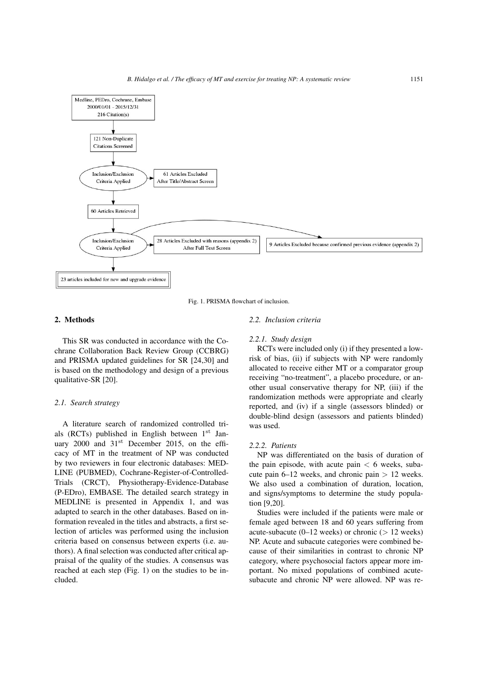

<span id="page-2-0"></span>Fig. 1. PRISMA flowchart of inclusion.

# 2. Methods

This SR was conducted in accordance with the Cochrane Collaboration Back Review Group (CCBRG) and PRISMA updated guidelines for SR [\[24,](#page-15-21)[30\]](#page-15-22) and is based on the methodology and design of a previous qualitative-SR [\[20\]](#page-15-15).

# *2.1. Search strategy*

A literature search of randomized controlled trials (RCTs) published in English between 1st January 2000 and 31<sup>st</sup> December 2015, on the efficacy of MT in the treatment of NP was conducted by two reviewers in four electronic databases: MED-LINE (PUBMED), Cochrane-Register-of-Controlled-Trials (CRCT), Physiotherapy-Evidence-Database (P-EDro), EMBASE. The detailed search strategy in MEDLINE is presented in Appendix 1, and was adapted to search in the other databases. Based on information revealed in the titles and abstracts, a first selection of articles was performed using the inclusion criteria based on consensus between experts (i.e. authors). A final selection was conducted after critical appraisal of the quality of the studies. A consensus was reached at each step (Fig. [1\)](#page-2-0) on the studies to be included.

# *2.2. Inclusion criteria 2.2.1. Study design*

RCTs were included only (i) if they presented a lowrisk of bias, (ii) if subjects with NP were randomly allocated to receive either MT or a comparator group receiving "no-treatment", a placebo procedure, or another usual conservative therapy for NP, (iii) if the randomization methods were appropriate and clearly reported, and (iv) if a single (assessors blinded) or double-blind design (assessors and patients blinded) was used.

# *2.2.2. Patients*

NP was differentiated on the basis of duration of the pain episode, with acute pain  $\lt 6$  weeks, subacute pain  $6-12$  weeks, and chronic pain  $> 12$  weeks. We also used a combination of duration, location, and signs/symptoms to determine the study population [\[9,](#page-15-0)[20\]](#page-15-15).

Studies were included if the patients were male or female aged between 18 and 60 years suffering from acute-subacute  $(0-12$  weeks) or chronic ( $> 12$  weeks) NP. Acute and subacute categories were combined because of their similarities in contrast to chronic NP category, where psychosocial factors appear more important. No mixed populations of combined acutesubacute and chronic NP were allowed. NP was re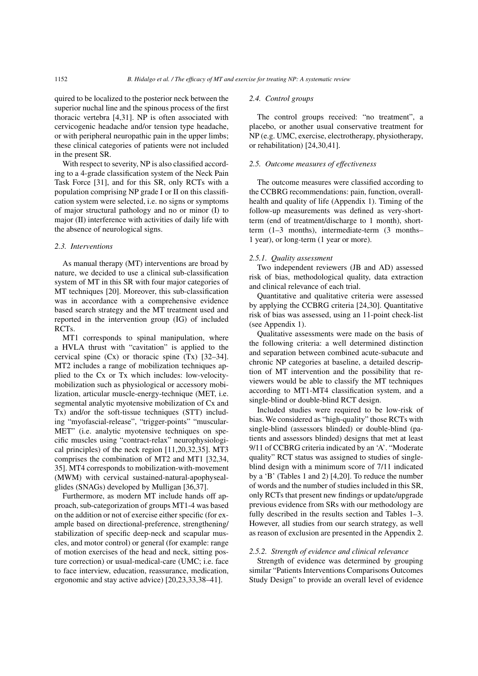quired to be localized to the posterior neck between the superior nuchal line and the spinous process of the first thoracic vertebra [\[4,](#page-15-1)[31\]](#page-15-23). NP is often associated with cervicogenic headache and/or tension type headache, or with peripheral neuropathic pain in the upper limbs; these clinical categories of patients were not included in the present SR.

With respect to severity, NP is also classified according to a 4-grade classification system of the Neck Pain Task Force [\[31\]](#page-15-23), and for this SR, only RCTs with a population comprising NP grade I or II on this classification system were selected, i.e. no signs or symptoms of major structural pathology and no or minor (I) to major (II) interference with activities of daily life with the absence of neurological signs.

# *2.3. Interventions*

As manual therapy (MT) interventions are broad by nature, we decided to use a clinical sub-classification system of MT in this SR with four major categories of MT techniques [\[20\]](#page-15-15). Moreover, this sub-classification was in accordance with a comprehensive evidence based search strategy and the MT treatment used and reported in the intervention group (IG) of included RCTs.

MT1 corresponds to spinal manipulation, where a HVLA thrust with "cavitation" is applied to the cervical spine (Cx) or thoracic spine (Tx) [\[32](#page-15-24)[–34\]](#page-16-0). MT2 includes a range of mobilization techniques applied to the Cx or Tx which includes: low-velocitymobilization such as physiological or accessory mobilization, articular muscle-energy-technique (MET, i.e. segmental analytic myotensive mobilization of Cx and Tx) and/or the soft-tissue techniques (STT) including "myofascial-release", "trigger-points" "muscular-MET" (i.e. analytic myotensive techniques on specific muscles using "contract-relax" neurophysiological principles) of the neck region [\[11,](#page-15-11)[20,](#page-15-15)[32,](#page-15-24)[35\]](#page-16-1). MT3 comprises the combination of MT2 and MT1 [\[32](#page-15-24)[,34,](#page-16-0) [35\]](#page-16-1). MT4 corresponds to mobilization-with-movement (MWM) with cervical sustained-natural-apophysealglides (SNAGs) developed by Mulligan [\[36](#page-16-2)[,37\]](#page-16-3).

Furthermore, as modern MT include hands off approach, sub-categorization of groups MT1-4 was based on the addition or not of exercise either specific (for example based on directional-preference, strengthening/ stabilization of specific deep-neck and scapular muscles, and motor control) or general (for example: range of motion exercises of the head and neck, sitting posture correction) or usual-medical-care (UMC; i.e. face to face interview, education, reassurance, medication, ergonomic and stay active advice) [\[20](#page-15-15)[,23](#page-15-18)[,33,](#page-16-4)[38–](#page-16-5)[41\]](#page-16-6).

#### *2.4. Control groups*

The control groups received: "no treatment", a placebo, or another usual conservative treatment for NP (e.g. UMC, exercise, electrotherapy, physiotherapy, or rehabilitation) [\[24](#page-15-21)[,30](#page-15-22)[,41\]](#page-16-6).

# *2.5. Outcome measures of effectiveness*

The outcome measures were classified according to the CCBRG recommendations: pain, function, overallhealth and quality of life (Appendix 1). Timing of the follow-up measurements was defined as very-shortterm (end of treatment/discharge to 1 month), shortterm (1–3 months), intermediate-term (3 months– 1 year), or long-term (1 year or more).

#### *2.5.1. Quality assessment*

Two independent reviewers (JB and AD) assessed risk of bias, methodological quality, data extraction and clinical relevance of each trial.

Quantitative and qualitative criteria were assessed by applying the CCBRG criteria [\[24,](#page-15-21)[30\]](#page-15-22). Quantitative risk of bias was assessed, using an 11-point check-list (see Appendix 1).

Qualitative assessments were made on the basis of the following criteria: a well determined distinction and separation between combined acute-subacute and chronic NP categories at baseline, a detailed description of MT intervention and the possibility that reviewers would be able to classify the MT techniques according to MT1-MT4 classification system, and a single-blind or double-blind RCT design.

Included studies were required to be low-risk of bias. We considered as "high-quality" those RCTs with single-blind (assessors blinded) or double-blind (patients and assessors blinded) designs that met at least 9/11 of CCBRG criteria indicated by an 'A'. "Moderate quality" RCT status was assigned to studies of singleblind design with a minimum score of 7/11 indicated by a 'B' (Tables [1](#page-4-0) and [2\)](#page-6-0) [\[4](#page-15-1)[,20\]](#page-15-15). To reduce the number of words and the number of studies included in this SR, only RCTs that present new findings or update/upgrade previous evidence from SRs with our methodology are fully described in the results section and Tables [1–](#page-4-0)[3.](#page-12-0) However, all studies from our search strategy, as well as reason of exclusion are presented in the Appendix 2.

# *2.5.2. Strength of evidence and clinical relevance*

Strength of evidence was determined by grouping similar "Patients Interventions Comparisons Outcomes Study Design" to provide an overall level of evidence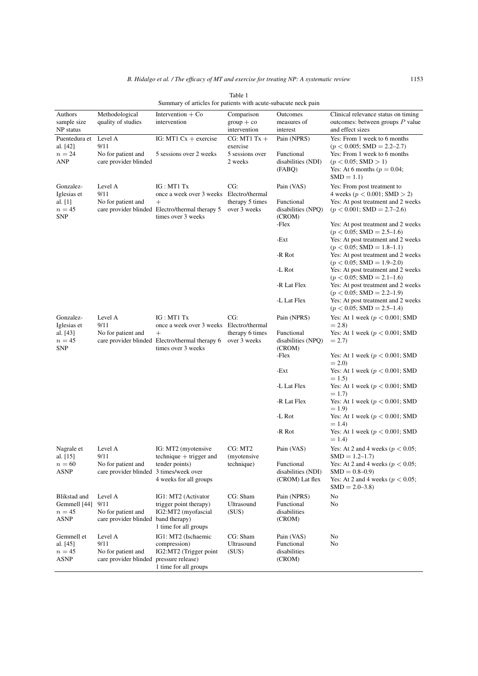<span id="page-4-0"></span>

|                                                                |                                                                              | Summary or articles for patients with acute-subacute neck pain                  |                                            |                                                     |                                                                                                         |
|----------------------------------------------------------------|------------------------------------------------------------------------------|---------------------------------------------------------------------------------|--------------------------------------------|-----------------------------------------------------|---------------------------------------------------------------------------------------------------------|
| Authors<br>sample size<br>NP status                            | Methodological<br>quality of studies                                         | Intervention $+$ Co<br>intervention                                             | Comparison<br>$group + co$<br>intervention | Outcomes<br>measures of<br>interest                 | Clinical relevance status on timing<br>outcomes: between groups $P$ value<br>and effect sizes           |
| Puentedura et Level A<br>al. [42]                              | 9/11                                                                         | IG: MT1 $Cx +$ exercise                                                         | $CG: MT1 Tx +$<br>exercise                 | Pain (NPRS)                                         | Yes: From 1 week to 6 months<br>$(p < 0.005; SMD = 2.2 - 2.7)$                                          |
| $n=24$<br>ANP                                                  | No for patient and<br>care provider blinded                                  | 5 sessions over 2 weeks                                                         | 5 sessions over<br>2 weeks                 | Functional<br>disabilities (NDI)<br>(FABQ)          | Yes: From 1 week to 6 months<br>(p < 0.05; SMD > 1)<br>Yes: At 6 months ( $p = 0.04$ ;<br>$SMD = 1.1$   |
| Gonzalez-<br>Iglesias et                                       | Level A<br>9/11                                                              | $IG: MT1$ Tx<br>once a week over 3 weeks Electro/thermal                        | CG:                                        | Pain (VAS)                                          | Yes: From post treatment to<br>4 weeks ( $p < 0.001$ ; SMD $> 2$ )                                      |
| al. [1]<br>$n=45$<br><b>SNP</b>                                | No for patient and                                                           | $^{+}$<br>care provider blinded Electro/thermal therapy 5<br>times over 3 weeks | therapy 5 times<br>over 3 weeks            | Functional<br>disabilities (NPQ)<br>(CROM)          | Yes: At post treatment and 2 weeks<br>$(p < 0.001;$ SMD = 2.7–2.6)                                      |
|                                                                |                                                                              |                                                                                 |                                            | -Flex                                               | Yes: At post treatment and 2 weeks<br>$(p < 0.05; SMD = 2.5-1.6)$                                       |
|                                                                |                                                                              |                                                                                 |                                            | -Ext                                                | Yes: At post treatment and 2 weeks<br>$(p < 0.05; SMD = 1.8-1.1)$                                       |
|                                                                |                                                                              |                                                                                 |                                            | -R Rot                                              | Yes: At post treatment and 2 weeks<br>$(p < 0.05; SMD = 1.9{\text -}2.0)$                               |
|                                                                |                                                                              |                                                                                 |                                            | -L Rot<br>-R Lat Flex                               | Yes: At post treatment and 2 weeks<br>$(p < 0.05; SMD = 2.1-1.6)$<br>Yes: At post treatment and 2 weeks |
|                                                                |                                                                              |                                                                                 |                                            | -L Lat Flex                                         | $(p < 0.05; SMD = 2.2-1.9)$<br>Yes: At post treatment and 2 weeks                                       |
| Gonzalez-                                                      | Level A                                                                      | $IG: MT1$ Tx                                                                    | CG:                                        | Pain (NPRS)                                         | $(p < 0.05; SMD = 2.5-1.4)$<br>Yes: At 1 week ( $p < 0.001$ ; SMD                                       |
| Iglesias et<br>al. [43]                                        | 9/11<br>No for patient and                                                   | once a week over 3 weeks Electro/thermal<br>$+$                                 | therapy 6 times                            | Functional                                          | $= 2.8$<br>Yes: At 1 week ( $p < 0.001$ ; SMD                                                           |
| $n=45$<br><b>SNP</b>                                           |                                                                              | care provider blinded Electro/thermal therapy 6<br>times over 3 weeks           | over 3 weeks                               | disabilities (NPQ)<br>(CROM)                        | $= 2.7$                                                                                                 |
|                                                                |                                                                              |                                                                                 |                                            | -Flex                                               | Yes: At 1 week ( $p < 0.001$ ; SMD<br>$= 2.0$                                                           |
|                                                                |                                                                              |                                                                                 |                                            | -Ext                                                | Yes: At 1 week ( $p < 0.001$ ; SMD<br>$= 1.5$                                                           |
|                                                                |                                                                              |                                                                                 |                                            | -L Lat Flex                                         | Yes: At 1 week ( $p < 0.001$ ; SMD<br>$= 1.7$                                                           |
|                                                                |                                                                              |                                                                                 |                                            | -R Lat Flex<br>-L Rot                               | Yes: At 1 week ( $p < 0.001$ ; SMD<br>$= 1.9$                                                           |
|                                                                |                                                                              |                                                                                 |                                            | -R Rot                                              | Yes: At 1 week ( $p < 0.001$ ; SMD<br>$= 1.4$<br>Yes: At 1 week ( $p < 0.001$ ; SMD                     |
| Nagrale et                                                     | Level A                                                                      | IG: MT2 (myotensive                                                             | CG: MT2                                    | Pain (VAS)                                          | $= 1.4$<br>Yes: At 2 and 4 weeks ( $p < 0.05$ ;                                                         |
| al. [15]<br>$n = 60$                                           | 9/11<br>No for patient and tender points)                                    | $technique + trigger and$                                                       | (myotensive)<br>technique)                 | Functional                                          | $SMD = 1.2 - 1.7$<br>Yes: At 2 and 4 weeks ( $p < 0.05$ ;                                               |
| ASNP                                                           | care provider blinded 3 times/week over                                      | 4 weeks for all groups                                                          |                                            | disabilities (NDI)<br>(CROM) Lat flex               | $SMD = 0.8 - 0.9$<br>Yes: At 2 and 4 weeks ( $p < 0.05$ ;                                               |
|                                                                |                                                                              | IG1: MT2 (Activator                                                             | CG: Sham                                   |                                                     | $SMD = 2.0 - 3.8$<br>No                                                                                 |
| <b>Blikstad</b> and<br>Gemmell [44]<br>$n = 45$<br><b>ASNP</b> | Level A<br>9/11<br>No for patient and<br>care provider blinded band therapy) | trigger point therapy)<br>IG2:MT2 (myofascial<br>1 time for all groups          | Ultrasound<br>(SUS)                        | Pain (NPRS)<br>Functional<br>disabilities<br>(CROM) | No                                                                                                      |
| Gemmell et<br>al. [45]                                         | Level A<br>9/11                                                              | IG1: MT2 (Ischaemic<br>compression)                                             | CG: Sham<br>Ultrasound                     | Pain (VAS)<br>Functional                            | No<br>No                                                                                                |
| $n = 45$<br>ASNP                                               | No for patient and<br>care provider blinded pressure release)                | IG2:MT2 (Trigger point<br>1 time for all groups                                 | (SUS)                                      | disabilities<br>(CROM)                              |                                                                                                         |

| Table 1                                                        |
|----------------------------------------------------------------|
| Summary of articles for patients with acute-subacute neck pain |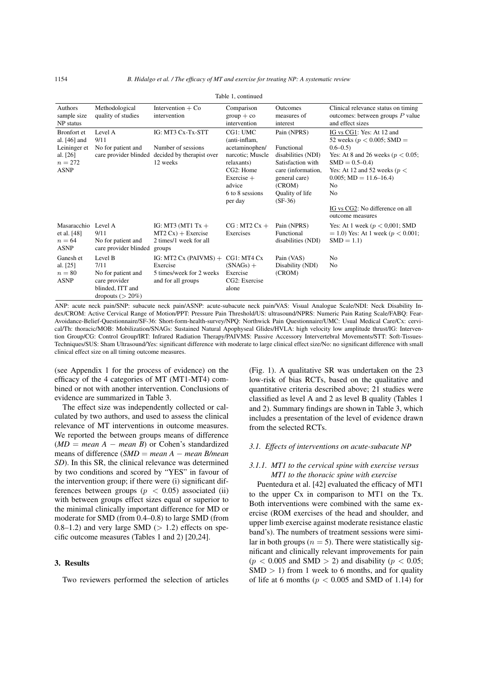| Authors<br>sample size<br>NP status                                                   | Methodological<br>quality of studies                                                              | Intervention $+$ Co<br>intervention                                                   | Comparison<br>$group + co$<br>intervention                                                                                                         | Outcomes<br>measures of<br>interest                                                                                                                   | Clinical relevance status on timing<br>outcomes: between groups $P$ value<br>and effect sizes                                                                                                                                                                                                             |
|---------------------------------------------------------------------------------------|---------------------------------------------------------------------------------------------------|---------------------------------------------------------------------------------------|----------------------------------------------------------------------------------------------------------------------------------------------------|-------------------------------------------------------------------------------------------------------------------------------------------------------|-----------------------------------------------------------------------------------------------------------------------------------------------------------------------------------------------------------------------------------------------------------------------------------------------------------|
| Bronfort et<br>al. $[46]$ and<br>Leininger et<br>al. [26]<br>$n = 272$<br><b>ASNP</b> | Level A<br>9/11<br>No for patient and<br>care provider blinded                                    | IG: MT3 Cx-Tx-STT<br>Number of sessions<br>decided by therapist over<br>12 weeks      | CG1: UMC<br>(anti-inflam,<br>acetaminophen/<br>narcotic; Muscle<br>relaxants)<br>CG2: Home<br>$Exercise +$<br>advice<br>6 to 8 sessions<br>per day | Pain (NPRS)<br>Functional<br>disabilities (NDI)<br>Satisfaction with<br>care (information,<br>general care)<br>(CROM)<br>Quality of life<br>$(SF-36)$ | IG vs CG1: Yes: At 12 and<br>52 weeks ( $p < 0.005$ ; SMD =<br>$0.6 - 0.5$<br>Yes: At 8 and 26 weeks ( $p < 0.05$ ;<br>$SMD = 0.5{\text -}0.4$<br>Yes: At 12 and 52 weeks ( $p <$<br>$0.005$ ; MD = 11.6-16.4)<br>N <sub>0</sub><br>N <sub>0</sub><br>IG vs CG2: No difference on all<br>outcome measures |
| Masaracchio<br>et al. [48]<br>$n = 64$<br><b>ASNP</b>                                 | Level A<br>9/11<br>No for patient and<br>care provider blinded                                    | IG: MT3 (MT1 $Tx +$<br>$MT2 Cx$ ) + Exercise<br>2 times/1 week for all<br>groups      | $CG: MT2 Cx +$<br>Exercises                                                                                                                        | Pain (NPRS)<br><b>Functional</b><br>disabilities (NDI)                                                                                                | Yes: At 1 week ( $p < 0.001$ ; SMD<br>$= 1.0$ ) Yes: At 1 week ( $p < 0.001$ ;<br>$SMD = 1.1$                                                                                                                                                                                                             |
| Ganesh et<br>al. [25]<br>$n=80$<br><b>ASNP</b>                                        | Level B<br>7/11<br>No for patient and<br>care provider<br>blinded, ITT and<br>dropouts ( $>$ 20%) | IG: MT2 Cx (PAIVMS) $+$<br>Exercise<br>5 times/week for 2 weeks<br>and for all groups | CG1: MT4 Cx<br>$(SNAGs) +$<br>Exercise<br>CG2: Exercise<br>alone                                                                                   | Pain (VAS)<br>Disability (NDI)<br>(CROM)                                                                                                              | N <sub>0</sub><br>N <sub>0</sub>                                                                                                                                                                                                                                                                          |

#### Table 1, continued

ANP: acute neck pain/SNP: subacute neck pain/ASNP: acute-subacute neck pain/VAS: Visual Analogue Scale/NDI: Neck Disability Index/CROM: Active Cervical Range of Motion/PPT: Pressure Pain Threshold/US: ultrasound/NPRS: Numeric Pain Rating Scale/FABQ: Fear-Avoidance-Belief-Questionnaire/SF-36: Short-form-health-survey/NPQ: Northwick Pain Questionnaire/UMC: Usual Medical Care/Cx: cervical/Th: thoracic/MOB: Mobilization/SNAGs: Sustained Natural Apophyseal Glides/HVLA: high velocity low amplitude thrust/IG: Intervention Group/CG: Control Group/IRT: Infrared Radiation Therapy/PAIVMS: Passive Accessory Intervertebral Movements/STT: Soft-Tissues-Techniques/SUS: Sham Ultrasound/Yes: significant difference with moderate to large clinical effect size/No: no significant difference with small clinical effect size on all timing outcome measures.

(see Appendix 1 for the process of evidence) on the efficacy of the 4 categories of MT (MT1-MT4) combined or not with another intervention. Conclusions of evidence are summarized in Table [3.](#page-12-0)

The effect size was independently collected or calculated by two authors, and used to assess the clinical relevance of MT interventions in outcome measures. We reported the between groups means of difference  $(MD = \text{mean } A - \text{mean } B)$  or Cohen's standardized means of difference (*SMD* = *mean A* − *mean B/mean SD*). In this SR, the clinical relevance was determined by two conditions and scored by "YES" in favour of the intervention group; if there were (i) significant differences between groups ( $p < 0.05$ ) associated (ii) with between groups effect sizes equal or superior to the minimal clinically important difference for MD or moderate for SMD (from 0.4–0.8) to large SMD (from  $0.8-1.2$ ) and very large SMD ( $> 1.2$ ) effects on specific outcome measures (Tables [1](#page-4-0) and [2\)](#page-6-0) [\[20,](#page-15-15)[24\]](#page-15-21).

# 3. Results

Two reviewers performed the selection of articles

(Fig. [1\)](#page-2-0). A qualitative SR was undertaken on the 23 low-risk of bias RCTs, based on the qualitative and quantitative criteria described above; 21 studies were classified as level A and 2 as level B quality (Tables [1](#page-4-0) and [2\)](#page-6-0). Summary findings are shown in Table [3,](#page-12-0) which includes a presentation of the level of evidence drawn from the selected RCTs.

# *3.1. Effects of interventions on acute-subacute NP*

# *3.1.1. MT1 to the cervical spine with exercise versus MT1 to the thoracic spine with exercise*

Puentedura et al. [\[42\]](#page-16-7) evaluated the efficacy of MT1 to the upper Cx in comparison to MT1 on the Tx. Both interventions were combined with the same exercise (ROM exercises of the head and shoulder, and upper limb exercise against moderate resistance elastic band's). The numbers of treatment sessions were similar in both groups ( $n = 5$ ). There were statistically significant and clinically relevant improvements for pain  $(p < 0.005$  and SMD  $> 2$ ) and disability  $(p < 0.05$ ;  $SMD > 1$ ) from 1 week to 6 months, and for quality of life at 6 months ( $p < 0.005$  and SMD of 1.14) for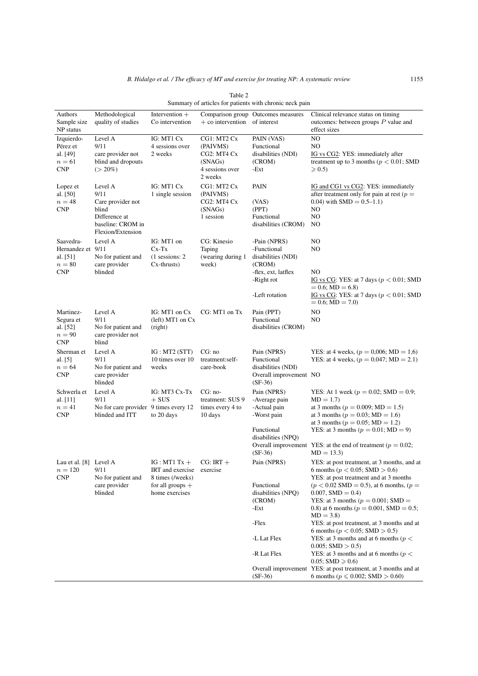<span id="page-6-0"></span>

| Authors<br>Sample size<br>NP status                                  | Methodological<br>quality of studies                                                                     | Intervention $+$<br>Co intervention                                                            | $+$ co intervention                                                             | Comparison group Outcomes measures<br>of interest                                                                  | Clinical relevance status on timing<br>outcomes: between groups $P$ value and<br>effect sizes                                                                                                                                                                                                                                                                                                                                                                                                                          |
|----------------------------------------------------------------------|----------------------------------------------------------------------------------------------------------|------------------------------------------------------------------------------------------------|---------------------------------------------------------------------------------|--------------------------------------------------------------------------------------------------------------------|------------------------------------------------------------------------------------------------------------------------------------------------------------------------------------------------------------------------------------------------------------------------------------------------------------------------------------------------------------------------------------------------------------------------------------------------------------------------------------------------------------------------|
| Izquierdo-<br>Pérez et<br>al. [49]<br>$n = 61$<br><b>CNP</b>         | Level A<br>9/11<br>care provider not<br>blind and dropouts<br>$(> 20\%)$                                 | IG: MT1 Cx<br>4 sessions over<br>2 weeks                                                       | CG1: MT2 Cx<br>(PAIVMS)<br>CG2: MT4 Cx<br>(SNAGs)<br>4 sessions over<br>2 weeks | PAIN (VAS)<br>Functional<br>disabilities (NDI)<br>(CROM)<br>-Ext                                                   | NO.<br>NO<br>IG vs CG2: YES: immediately after<br>treatment up to 3 months ( $p < 0.01$ ; SMD<br>$\geqslant 0.5$                                                                                                                                                                                                                                                                                                                                                                                                       |
| Lopez et<br>al. $[50]$<br>$n=48$<br><b>CNP</b>                       | Level A<br>9/11<br>Care provider not<br>blind<br>Difference at<br>baseline: CROM in<br>Flexion/Extension | IG: MT1 Cx<br>1 single session                                                                 | CG1: MT2 Cx<br>(PAIVMS)<br>CG2: MT4 Cx<br>(SNAGs)<br>1 session                  | PAIN<br>(VAS)<br>(PPT)<br>Functional<br>disabilities (CROM)                                                        | IG and CG1 vs CG2: YES: immediately<br>after treatment only for pain at rest ( $p =$<br>$0.04$ ) with SMD = $0.5-1.1$ )<br>NO<br>NO.<br>N <sub>O</sub>                                                                                                                                                                                                                                                                                                                                                                 |
| Saavedra-<br>Hernandez et 9/11<br>al. [51]<br>$n = 80$<br><b>CNP</b> | Level A<br>No for patient and<br>care provider<br>blinded                                                | IG: MT1 on<br>$Cx-Tx$<br>$(1$ sessions: 2<br>$Cx-thrusts)$                                     | CG: Kinesio<br>Taping<br>(wearing during 1<br>week)                             | -Pain (NPRS)<br>-Functional<br>disabilities (NDI)<br>(CROM)<br>-flex, ext, latflex<br>-Right rot<br>-Left rotation | NO<br>NO.<br>NO.<br>IG vs CG: YES: at 7 days ( $p < 0.01$ ; SMD<br>$= 0.6$ ; MD $= 6.8$ )<br>IG vs CG: YES: at 7 days ( $p < 0.01$ ; SMD<br>$= 0.6; MD = 7.0$                                                                                                                                                                                                                                                                                                                                                          |
| Martinez-<br>Segura et<br>al. [52]<br>$n = 90$<br><b>CNP</b>         | Level A<br>9/11<br>No for patient and<br>care provider not<br>blind                                      | IG: MT1 on Cx<br>$(left) MT1$ on $Cx$<br>(right)                                               | CG: MT1 on Tx                                                                   | Pain (PPT)<br>Functional<br>disabilities (CROM)                                                                    | NO<br>NO                                                                                                                                                                                                                                                                                                                                                                                                                                                                                                               |
| Sherman et<br>al. $[5]$<br>$n = 64$<br><b>CNP</b>                    | Level A<br>9/11<br>No for patient and<br>care provider<br>blinded                                        | IG: MT2 (STT)<br>10 times over 10<br>weeks                                                     | CG: no<br>treatment:self-<br>care-book                                          | Pain (NPRS)<br>Functional<br>disabilities (NDI)<br>Overall improvement NO<br>$(SF-36)$                             | YES: at 4 weeks, $(p = 0.006; \text{MD} = 1.6)$<br>YES: at 4 weeks, $(p = 0.047; MD = 2.1)$                                                                                                                                                                                                                                                                                                                                                                                                                            |
| Schwerla et<br>al. [11]<br>$n=41$<br><b>CNP</b>                      | Level A<br>9/11<br>No for care provider 9 times every 12<br>blinded and ITT                              | IG: MT3 Cx-Tx<br>$+$ SUS<br>to 20 days                                                         | $CG: no-$<br>treatment: SUS 9<br>times every 4 to<br>10 days                    | Pain (NPRS)<br>-Average pain<br>-Actual pain<br>-Worst pain                                                        | YES: At 1 week ( $p = 0.02$ ; SMD = 0.9;<br>$MD = 1.7$<br>at 3 months ( $p = 0.009$ ; MD = 1.5)<br>at 3 months ( $p = 0.03$ ; MD = 1.6)<br>at 3 months ( $p = 0.05$ ; MD = 1.2)                                                                                                                                                                                                                                                                                                                                        |
|                                                                      |                                                                                                          |                                                                                                |                                                                                 | Functional<br>disabilities (NPQ)<br>$(SF-36)$                                                                      | YES: at 3 months ( $p = 0.01$ ; MD = 9)<br>Overall improvement YES: at the end of treatment ( $p = 0.02$ ;<br>$MD = 13.3$                                                                                                                                                                                                                                                                                                                                                                                              |
| Lau et al. [8] Level A<br>$n=120$<br>CNP                             | 9/11<br>No for patient and<br>care provider<br>blinded                                                   | $IG: MT1 Tx +$<br>IRT and exercise<br>8 times (/weeks)<br>for all groups $+$<br>home exercises | $CG: IRT +$<br>exercise                                                         | Pain (NPRS)<br>Functional<br>disabilities (NPQ)<br>(CROM)<br>-Ext<br>-Flex<br>-L Lat Flex<br>-R Lat Flex           | YES: at post treatment, at 3 months, and at<br>6 months ( $p < 0.05$ ; SMD $> 0.6$ )<br>YES: at post treatment and at 3 months<br>$(p < 0.02$ SMD = 0.5), at 6 months, $(p =$<br>$0.007$ , SMD = 0.4)<br>YES: at 3 months ( $p = 0.001$ ; SMD =<br>0.8) at 6 months ( $p = 0.001$ , SMD = 0.5;<br>$MD = 3.8$<br>YES: at post treatment, at 3 months and at<br>6 months ( $p < 0.05$ ; SMD $> 0.5$ )<br>YES: at 3 months and at 6 months ( $p <$<br>$0.005$ ; SMD $> 0.5$ )<br>YES: at 3 months and at 6 months ( $p <$ |
|                                                                      |                                                                                                          |                                                                                                |                                                                                 | $(SF-36)$                                                                                                          | $0.05$ ; SMD $\ge 0.6$ )<br>Overall improvement YES: at post treatment, at 3 months and at<br>6 months ( $p \le 0.002$ ; SMD $> 0.60$ )                                                                                                                                                                                                                                                                                                                                                                                |

Table 2 Summary of articles for patients with chronic neck pain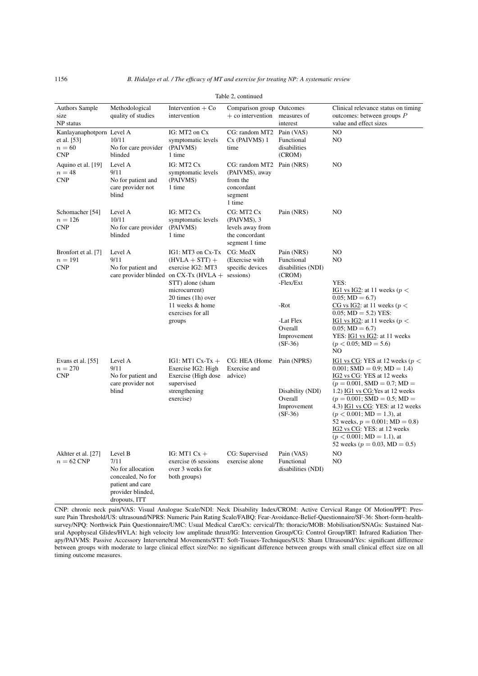|                                                                      |                                                                                                                     |                                                                                                                              | Table 2, continued                                                                         |                                                                       |                                                                                                                                                                                                                                                                                      |
|----------------------------------------------------------------------|---------------------------------------------------------------------------------------------------------------------|------------------------------------------------------------------------------------------------------------------------------|--------------------------------------------------------------------------------------------|-----------------------------------------------------------------------|--------------------------------------------------------------------------------------------------------------------------------------------------------------------------------------------------------------------------------------------------------------------------------------|
| <b>Authors Sample</b><br>size<br>NP status                           | Methodological<br>quality of studies                                                                                | Intervention $+$ Co<br>intervention                                                                                          | Comparison group Outcomes<br>$+$ co intervention                                           | measures of<br>interest                                               | Clinical relevance status on timing<br>outcomes: between groups $P$<br>value and effect sizes                                                                                                                                                                                        |
| Kanlayanaphotporn Level A<br>et al. $[53]$<br>$n = 60$<br><b>CNP</b> | 10/11<br>No for care provider<br>blinded                                                                            | IG: MT2 on Cx<br>symptomatic levels<br>(PAIVMS)<br>1 time                                                                    | CG: random MT2 Pain (VAS)<br>Cx (PAIVMS) 1<br>time                                         | Functional<br>disabilities<br>(CROM)                                  | N <sub>O</sub><br>N <sub>O</sub>                                                                                                                                                                                                                                                     |
| Aquino et al. [19]<br>$n=48$<br><b>CNP</b>                           | Level A<br>9/11<br>No for patient and<br>care provider not<br>blind                                                 | IG: MT2 Cx<br>symptomatic levels<br>(PAIVMS)<br>1 time                                                                       | CG: random MT2 Pain (NRS)<br>(PAIVMS), away<br>from the<br>concordant<br>segment<br>1 time |                                                                       | N <sub>O</sub>                                                                                                                                                                                                                                                                       |
| Schomacher [54]<br>$n = 126$<br><b>CNP</b>                           | Level A<br>10/11<br>No for care provider<br>blinded                                                                 | IG: MT2 Cx<br>symptomatic levels<br>(PAIVMS)<br>1 time                                                                       | CG: MT2 Cx<br>(PAIVMS), 3<br>levels away from<br>the concordant<br>segment 1 time          | Pain (NRS)                                                            | N <sub>O</sub>                                                                                                                                                                                                                                                                       |
| Bronfort et al. [7]<br>$n = 191$<br><b>CNP</b>                       | Level A<br>9/11<br>No for patient and                                                                               | IG1: MT3 on Cx-Tx<br>$(HVLA + STT) +$<br>exercise IG2: MT3<br>care provider blinded on $CX-Tx$ (HVLA $+$<br>STT) alone (sham | CG: MedX<br>(Exercise with<br>specific devices<br>sessions)                                | Pain (NRS)<br>Functional<br>disabilities (NDI)<br>(CROM)<br>-Flex/Ext | N <sub>O</sub><br>NO.<br>YES:                                                                                                                                                                                                                                                        |
|                                                                      |                                                                                                                     | microcurrent)<br>20 times (1h) over<br>11 weeks & home<br>exercises for all                                                  |                                                                                            | -Rot                                                                  | IG1 vs IG2: at 11 weeks ( $p <$<br>$0.05; MD = 6.7$<br>CG vs IG2: at 11 weeks ( $p <$<br>$0.05$ ; MD = 5.2) YES:                                                                                                                                                                     |
|                                                                      |                                                                                                                     | groups                                                                                                                       |                                                                                            | -Lat Flex<br>Overall<br>Improvement<br>$(SF-36)$                      | IG1 vs IG2: at 11 weeks ( $p <$<br>$0.05$ ; MD = 6.7)<br>YES: IG1 vs IG2: at 11 weeks<br>$(p < 0.05; MD = 5.6)$<br>NO.                                                                                                                                                               |
| Evans et al. [55]<br>$n = 270$<br><b>CNP</b>                         | Level A<br>9/11<br>No for patient and<br>care provider not                                                          | IG1: MT1 $Cx-Tx +$<br>Exercise IG2: High<br>Exercise (High dose<br>supervised                                                | CG: HEA (Home<br>Exercise and<br>advice)                                                   | Pain (NPRS)                                                           | IG1 vs CG: YES at 12 weeks ( $p <$<br>$0.001$ ; SMD = 0.9; MD = 1.4)<br>IG2 vs CG: YES at 12 weeks<br>$(p = 0.001, SMD = 0.7; MD =$                                                                                                                                                  |
|                                                                      | blind                                                                                                               | strengthening<br>exercise)                                                                                                   |                                                                                            | Disability (NDI)<br>Overall<br>Improvement<br>$(SF-36)$               | 1.2) IG1 vs CG: Yes at 12 weeks<br>$(p = 0.001; SMD = 0.5; MD =$<br>4.3) IG1 vs CG: YES: at 12 weeks<br>$(p < 0.001; MD = 1.3)$ , at<br>52 weeks, $p = 0.001$ ; MD = 0.8)<br>IG2 vs CG: YES: at 12 weeks<br>$(p < 0.001; \text{MD} = 1.1)$ , at<br>52 weeks ( $p = 0.03$ , MD = 0.5) |
| Akhter et al. [27]<br>$n = 62$ CNP                                   | Level B<br>7/11<br>No for allocation<br>concealed, No for<br>patient and care<br>provider blinded,<br>dropouts, ITT | IG: MT1 $Cx +$<br>exercise (6 sessions<br>over 3 weeks for<br>both groups)                                                   | CG: Supervised<br>exercise alone                                                           | Pain (VAS)<br>Functional<br>disabilities (NDI)                        | N <sub>O</sub><br>NO                                                                                                                                                                                                                                                                 |

CNP: chronic neck pain/VAS: Visual Analogue Scale/NDI: Neck Disability Index/CROM: Active Cervical Range Of Motion/PPT: Pressure Pain Threshold/US: ultrasound/NPRS: Numeric Pain Rating Scale/FABQ: Fear-Avoidance-Belief-Questionnaire/SF-36: Short-form-healthsurvey/NPQ: Northwick Pain Questionnaire/UMC: Usual Medical Care/Cx: cervical/Th: thoracic/MOB: Mobilisation/SNAGs: Sustained Natural Apophyseal Glides/HVLA: high velocity low amplitude thrust/IG: Intervention Group/CG: Control Group/IRT: Infrared Radiation Therapy/PAIVMS: Passive Accessory Intervertebral Movements/STT: Soft-Tissues-Techniques/SUS: Sham Ultrasound/Yes: significant difference between groups with moderate to large clinical effect size/No: no significant difference between groups with small clinical effect size on all timing outcome measures.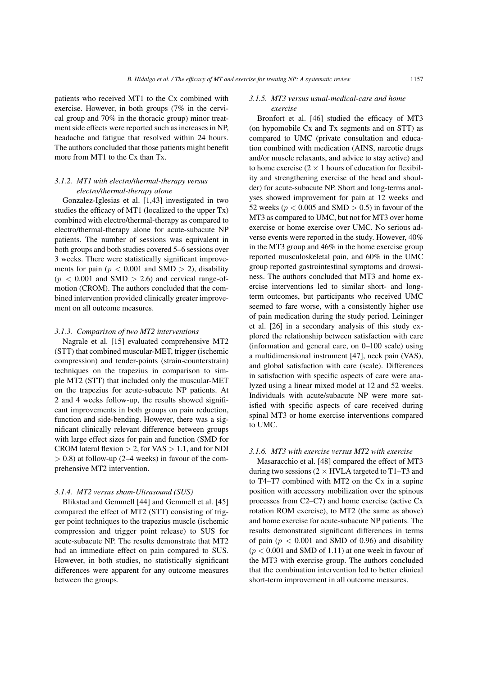patients who received MT1 to the Cx combined with exercise. However, in both groups (7% in the cervical group and 70% in the thoracic group) minor treatment side effects were reported such as increases in NP, headache and fatigue that resolved within 24 hours. The authors concluded that those patients might benefit more from MT1 to the Cx than Tx.

# *3.1.2. MT1 with electro/thermal-therapy versus electro/thermal-therapy alone*

Gonzalez-Iglesias et al. [\[1,](#page-14-0)[43\]](#page-16-8) investigated in two studies the efficacy of MT1 (localized to the upper Tx) combined with electro/thermal-therapy as compared to electro/thermal-therapy alone for acute-subacute NP patients. The number of sessions was equivalent in both groups and both studies covered 5–6 sessions over 3 weeks. There were statistically significant improvements for pain ( $p < 0.001$  and SMD  $> 2$ ), disability  $(p < 0.001$  and SMD  $> 2.6$ ) and cervical range-ofmotion (CROM). The authors concluded that the combined intervention provided clinically greater improvement on all outcome measures.

# *3.1.3. Comparison of two MT2 interventions*

Nagrale et al. [\[15\]](#page-15-10) evaluated comprehensive MT2 (STT) that combined muscular-MET, trigger (ischemic compression) and tender-points (strain-counterstrain) techniques on the trapezius in comparison to simple MT2 (STT) that included only the muscular-MET on the trapezius for acute-subacute NP patients. At 2 and 4 weeks follow-up, the results showed significant improvements in both groups on pain reduction, function and side-bending. However, there was a significant clinically relevant difference between groups with large effect sizes for pain and function (SMD for CROM lateral flexion  $> 2$ , for VAS  $> 1.1$ , and for NDI  $> 0.8$ ) at follow-up (2–4 weeks) in favour of the comprehensive MT2 intervention.

# *3.1.4. MT2 versus sham-Ultrasound (SUS)*

Blikstad and Gemmell [\[44\]](#page-16-9) and Gemmell et al. [\[45\]](#page-16-10) compared the effect of MT2 (STT) consisting of trigger point techniques to the trapezius muscle (ischemic compression and trigger point release) to SUS for acute-subacute NP. The results demonstrate that MT2 had an immediate effect on pain compared to SUS. However, in both studies, no statistically significant differences were apparent for any outcome measures between the groups.

# *3.1.5. MT3 versus usual-medical-care and home exercise*

Bronfort et al. [\[46\]](#page-16-11) studied the efficacy of MT3 (on hypomobile Cx and Tx segments and on STT) as compared to UMC (private consultation and education combined with medication (AINS, narcotic drugs and/or muscle relaxants, and advice to stay active) and to home exercise  $(2 \times 1$  hours of education for flexibility and strengthening exercise of the head and shoulder) for acute-subacute NP. Short and long-terms analyses showed improvement for pain at 12 weeks and 52 weeks ( $p < 0.005$  and SMD  $> 0.5$ ) in favour of the MT3 as compared to UMC, but not for MT3 over home exercise or home exercise over UMC. No serious adverse events were reported in the study. However, 40% in the MT3 group and 46% in the home exercise group reported musculoskeletal pain, and 60% in the UMC group reported gastrointestinal symptoms and drowsiness. The authors concluded that MT3 and home exercise interventions led to similar short- and longterm outcomes, but participants who received UMC seemed to fare worse, with a consistently higher use of pain medication during the study period. Leininger et al. [\[26\]](#page-15-25) in a secondary analysis of this study explored the relationship between satisfaction with care (information and general care, on 0–100 scale) using a multidimensional instrument [\[47\]](#page-16-20), neck pain (VAS), and global satisfaction with care (scale). Differences in satisfaction with specific aspects of care were analyzed using a linear mixed model at 12 and 52 weeks. Individuals with acute/subacute NP were more satisfied with specific aspects of care received during spinal MT3 or home exercise interventions compared to UMC.

# *3.1.6. MT3 with exercise versus MT2 with exercise*

Masaracchio et al. [\[48\]](#page-16-12) compared the effect of MT3 during two sessions ( $2 \times HVLA$  targeted to T1–T3 and to T4–T7 combined with MT2 on the Cx in a supine position with accessory mobilization over the spinous processes from C2–C7) and home exercise (active Cx rotation ROM exercise), to MT2 (the same as above) and home exercise for acute-subacute NP patients. The results demonstrated significant differences in terms of pain ( $p < 0.001$  and SMD of 0.96) and disability  $(p < 0.001$  and SMD of 1.11) at one week in favour of the MT3 with exercise group. The authors concluded that the combination intervention led to better clinical short-term improvement in all outcome measures.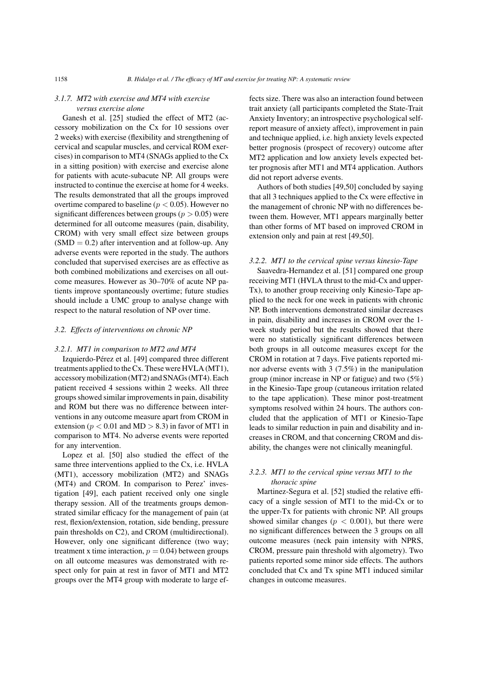# *3.1.7. MT2 with exercise and MT4 with exercise versus exercise alone*

Ganesh et al. [\[25\]](#page-15-19) studied the effect of MT2 (accessory mobilization on the Cx for 10 sessions over 2 weeks) with exercise (flexibility and strengthening of cervical and scapular muscles, and cervical ROM exercises) in comparison to MT4 (SNAGs applied to the Cx in a sitting position) with exercise and exercise alone for patients with acute-subacute NP. All groups were instructed to continue the exercise at home for 4 weeks. The results demonstrated that all the groups improved overtime compared to baseline ( $p < 0.05$ ). However no significant differences between groups ( $p > 0.05$ ) were determined for all outcome measures (pain, disability, CROM) with very small effect size between groups  $(SMD = 0.2)$  after intervention and at follow-up. Any adverse events were reported in the study. The authors concluded that supervised exercises are as effective as both combined mobilizations and exercises on all outcome measures. However as 30–70% of acute NP patients improve spontaneously overtime; future studies should include a UMC group to analyse change with respect to the natural resolution of NP over time.

# *3.2. Effects of interventions on chronic NP*

# *3.2.1. MT1 in comparison to MT2 and MT4*

Izquierdo-Pérez et al. [\[49\]](#page-16-13) compared three different treatments applied to the Cx. These were HVLA (MT1), accessorymobilization (MT2) and SNAGs (MT4). Each patient received 4 sessions within 2 weeks. All three groups showed similar improvements in pain, disability and ROM but there was no difference between interventions in any outcome measure apart from CROM in extension ( $p < 0.01$  and MD  $> 8.3$ ) in favor of MT1 in comparison to MT4. No adverse events were reported for any intervention.

Lopez et al. [\[50\]](#page-16-14) also studied the effect of the same three interventions applied to the Cx, i.e. HVLA (MT1), accessory mobilization (MT2) and SNAGs (MT4) and CROM. In comparison to Perez' investigation [\[49\]](#page-16-13), each patient received only one single therapy session. All of the treatments groups demonstrated similar efficacy for the management of pain (at rest, flexion/extension, rotation, side bending, pressure pain thresholds on C2), and CROM (multidirectional). However, only one significant difference (two way; treatment x time interaction,  $p = 0.04$ ) between groups on all outcome measures was demonstrated with respect only for pain at rest in favor of MT1 and MT2 groups over the MT4 group with moderate to large effects size. There was also an interaction found between trait anxiety (all participants completed the State-Trait Anxiety Inventory; an introspective psychological selfreport measure of anxiety affect), improvement in pain and technique applied, i.e. high anxiety levels expected better prognosis (prospect of recovery) outcome after MT2 application and low anxiety levels expected better prognosis after MT1 and MT4 application. Authors did not report adverse events.

Authors of both studies [\[49,](#page-16-13)[50\]](#page-16-14) concluded by saying that all 3 techniques applied to the Cx were effective in the management of chronic NP with no differences between them. However, MT1 appears marginally better than other forms of MT based on improved CROM in extension only and pain at rest [\[49](#page-16-13)[,50\]](#page-16-14).

# *3.2.2. MT1 to the cervical spine versus kinesio-Tape*

Saavedra-Hernandez et al. [\[51\]](#page-16-15) compared one group receiving MT1 (HVLA thrust to the mid-Cx and upper-Tx), to another group receiving only Kinesio-Tape applied to the neck for one week in patients with chronic NP. Both interventions demonstrated similar decreases in pain, disability and increases in CROM over the 1 week study period but the results showed that there were no statistically significant differences between both groups in all outcome measures except for the CROM in rotation at 7 days. Five patients reported minor adverse events with 3 (7.5%) in the manipulation group (minor increase in NP or fatigue) and two (5%) in the Kinesio-Tape group (cutaneous irritation related to the tape application). These minor post-treatment symptoms resolved within 24 hours. The authors concluded that the application of MT1 or Kinesio-Tape leads to similar reduction in pain and disability and increases in CROM, and that concerning CROM and disability, the changes were not clinically meaningful.

# *3.2.3. MT1 to the cervical spine versus MT1 to the thoracic spine*

Martinez-Segura et al. [\[52\]](#page-16-16) studied the relative efficacy of a single session of MT1 to the mid-Cx or to the upper-Tx for patients with chronic NP. All groups showed similar changes ( $p < 0.001$ ), but there were no significant differences between the 3 groups on all outcome measures (neck pain intensity with NPRS, CROM, pressure pain threshold with algometry). Two patients reported some minor side effects. The authors concluded that Cx and Tx spine MT1 induced similar changes in outcome measures.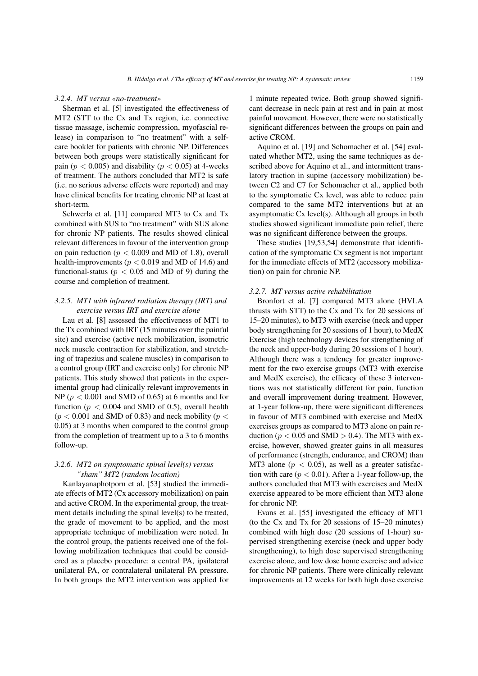#### *3.2.4. MT versus «no-treatment»*

Sherman et al. [\[5\]](#page-15-3) investigated the effectiveness of MT2 (STT to the Cx and Tx region, i.e. connective tissue massage, ischemic compression, myofascial release) in comparison to "no treatment" with a selfcare booklet for patients with chronic NP. Differences between both groups were statistically significant for pain ( $p < 0.005$ ) and disability ( $p < 0.05$ ) at 4-weeks of treatment. The authors concluded that MT2 is safe (i.e. no serious adverse effects were reported) and may have clinical benefits for treating chronic NP at least at short-term.

Schwerla et al. [\[11\]](#page-15-11) compared MT3 to Cx and Tx combined with SUS to "no treatment" with SUS alone for chronic NP patients. The results showed clinical relevant differences in favour of the intervention group on pain reduction ( $p < 0.009$  and MD of 1.8), overall health-improvements ( $p < 0.019$  and MD of 14.6) and functional-status ( $p < 0.05$  and MD of 9) during the course and completion of treatment.

# *3.2.5. MT1 with infrared radiation therapy (IRT) and exercise versus IRT and exercise alone*

Lau et al. [\[8\]](#page-15-4) assessed the effectiveness of MT1 to the Tx combined with IRT (15 minutes over the painful site) and exercise (active neck mobilization, isometric neck muscle contraction for stabilization, and stretching of trapezius and scalene muscles) in comparison to a control group (IRT and exercise only) for chronic NP patients. This study showed that patients in the experimental group had clinically relevant improvements in NP ( $p < 0.001$  and SMD of 0.65) at 6 months and for function ( $p < 0.004$  and SMD of 0.5), overall health  $(p < 0.001$  and SMD of 0.83) and neck mobility  $(p <$ 0.05) at 3 months when compared to the control group from the completion of treatment up to a 3 to 6 months follow-up.

# *3.2.6. MT2 on symptomatic spinal level(s) versus "sham" MT2 (random location)*

Kanlayanaphotporn et al. [\[53\]](#page-16-17) studied the immediate effects of MT2 (Cx accessory mobilization) on pain and active CROM. In the experimental group, the treatment details including the spinal level(s) to be treated, the grade of movement to be applied, and the most appropriate technique of mobilization were noted. In the control group, the patients received one of the following mobilization techniques that could be considered as a placebo procedure: a central PA, ipsilateral unilateral PA, or contralateral unilateral PA pressure. In both groups the MT2 intervention was applied for

1 minute repeated twice. Both group showed significant decrease in neck pain at rest and in pain at most painful movement. However, there were no statistically significant differences between the groups on pain and active CROM.

Aquino et al. [\[19\]](#page-15-26) and Schomacher et al. [\[54\]](#page-16-18) evaluated whether MT2, using the same techniques as described above for Aquino et al., and intermittent translatory traction in supine (accessory mobilization) between C2 and C7 for Schomacher et al., applied both to the symptomatic Cx level, was able to reduce pain compared to the same MT2 interventions but at an asymptomatic Cx level(s). Although all groups in both studies showed significant immediate pain relief, there was no significant difference between the groups.

These studies [\[19,](#page-15-26)[53,](#page-16-17)[54\]](#page-16-18) demonstrate that identification of the symptomatic Cx segment is not important for the immediate effects of MT2 (accessory mobilization) on pain for chronic NP.

#### *3.2.7. MT versus active rehabilitation*

Bronfort et al. [\[7\]](#page-15-7) compared MT3 alone (HVLA thrusts with STT) to the Cx and Tx for 20 sessions of 15–20 minutes), to MT3 with exercise (neck and upper body strengthening for 20 sessions of 1 hour), to MedX Exercise (high technology devices for strengthening of the neck and upper-body during 20 sessions of 1 hour). Although there was a tendency for greater improvement for the two exercise groups (MT3 with exercise and MedX exercise), the efficacy of these 3 interventions was not statistically different for pain, function and overall improvement during treatment. However, at 1-year follow-up, there were significant differences in favour of MT3 combined with exercise and MedX exercises groups as compared to MT3 alone on pain reduction ( $p < 0.05$  and SMD  $> 0.4$ ). The MT3 with exercise, however, showed greater gains in all measures of performance (strength, endurance, and CROM) than MT3 alone ( $p < 0.05$ ), as well as a greater satisfaction with care ( $p < 0.01$ ). After a 1-year follow-up, the authors concluded that MT3 with exercises and MedX exercise appeared to be more efficient than MT3 alone for chronic NP.

Evans et al. [\[55\]](#page-16-19) investigated the efficacy of MT1 (to the Cx and Tx for 20 sessions of 15–20 minutes) combined with high dose (20 sessions of 1-hour) supervised strengthening exercise (neck and upper body strengthening), to high dose supervised strengthening exercise alone, and low dose home exercise and advice for chronic NP patients. There were clinically relevant improvements at 12 weeks for both high dose exercise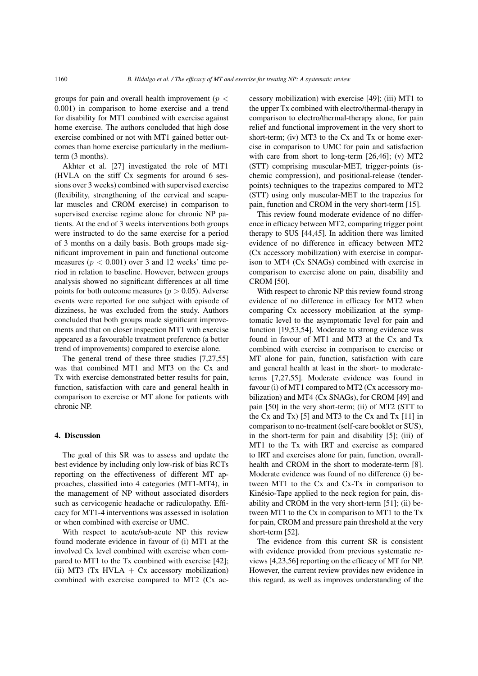groups for pain and overall health improvement ( $p <$ 0.001) in comparison to home exercise and a trend for disability for MT1 combined with exercise against home exercise. The authors concluded that high dose exercise combined or not with MT1 gained better outcomes than home exercise particularly in the mediumterm (3 months).

Akhter et al. [\[27\]](#page-15-27) investigated the role of MT1 (HVLA on the stiff Cx segments for around 6 sessions over 3 weeks) combined with supervised exercise (flexibility, strengthening of the cervical and scapular muscles and CROM exercise) in comparison to supervised exercise regime alone for chronic NP patients. At the end of 3 weeks interventions both groups were instructed to do the same exercise for a period of 3 months on a daily basis. Both groups made significant improvement in pain and functional outcome measures ( $p < 0.001$ ) over 3 and 12 weeks' time period in relation to baseline. However, between groups analysis showed no significant differences at all time points for both outcome measures ( $p > 0.05$ ). Adverse events were reported for one subject with episode of dizziness, he was excluded from the study. Authors concluded that both groups made significant improvements and that on closer inspection MT1 with exercise appeared as a favourable treatment preference (a better trend of improvements) compared to exercise alone.

The general trend of these three studies [\[7,](#page-15-7)[27,](#page-15-27)[55\]](#page-16-19) was that combined MT1 and MT3 on the Cx and Tx with exercise demonstrated better results for pain, function, satisfaction with care and general health in comparison to exercise or MT alone for patients with chronic NP.

# 4. Discussion

The goal of this SR was to assess and update the best evidence by including only low-risk of bias RCTs reporting on the effectiveness of different MT approaches, classified into 4 categories (MT1-MT4), in the management of NP without associated disorders such as cervicogenic headache or radiculopathy. Efficacy for MT1-4 interventions was assessed in isolation or when combined with exercise or UMC.

With respect to acute/sub-acute NP this review found moderate evidence in favour of (i) MT1 at the involved Cx level combined with exercise when compared to MT1 to the Tx combined with exercise [\[42\]](#page-16-7); (ii) MT3 (Tx HVLA  $+$  Cx accessory mobilization) combined with exercise compared to MT2 (Cx accessory mobilization) with exercise [\[49\]](#page-16-13); (iii) MT1 to the upper Tx combined with electro/thermal-therapy in comparison to electro/thermal-therapy alone, for pain relief and functional improvement in the very short to short-term; (iv) MT3 to the Cx and Tx or home exercise in comparison to UMC for pain and satisfaction with care from short to long-term [\[26](#page-15-25)[,46\]](#page-16-11); (v) MT2 (STT) comprising muscular-MET, trigger-points (ischemic compression), and positional-release (tenderpoints) techniques to the trapezius compared to MT2 (STT) using only muscular-MET to the trapezius for pain, function and CROM in the very short-term [\[15\]](#page-15-10).

This review found moderate evidence of no difference in efficacy between MT2, comparing trigger point therapy to SUS [\[44](#page-16-9)[,45\]](#page-16-10). In addition there was limited evidence of no difference in efficacy between MT2 (Cx accessory mobilization) with exercise in comparison to MT4 (Cx SNAGs) combined with exercise in comparison to exercise alone on pain, disability and CROM [\[50\]](#page-16-14).

With respect to chronic NP this review found strong evidence of no difference in efficacy for MT2 when comparing Cx accessory mobilization at the symptomatic level to the asymptomatic level for pain and function [\[19](#page-15-26)[,53](#page-16-17)[,54\]](#page-16-18). Moderate to strong evidence was found in favour of MT1 and MT3 at the Cx and Tx combined with exercise in comparison to exercise or MT alone for pain, function, satisfaction with care and general health at least in the short- to moderateterms [\[7](#page-15-7)[,27](#page-15-27)[,55\]](#page-16-19). Moderate evidence was found in favour (i) of MT1 compared to MT2 (Cx accessory mobilization) and MT4 (Cx SNAGs), for CROM [\[49\]](#page-16-13) and pain [\[50\]](#page-16-14) in the very short-term; (ii) of MT2 (STT to the Cx and Tx)  $[5]$  and MT3 to the Cx and Tx  $[11]$  in comparison to no-treatment (self-care booklet or SUS), in the short-term for pain and disability [\[5\]](#page-15-3); (iii) of MT1 to the Tx with IRT and exercise as compared to IRT and exercises alone for pain, function, overallhealth and CROM in the short to moderate-term [\[8\]](#page-15-4). Moderate evidence was found of no difference (i) between MT1 to the Cx and Cx-Tx in comparison to Kinésio-Tape applied to the neck region for pain, disability and CROM in the very short-term [\[51\]](#page-16-15); (ii) between MT1 to the Cx in comparison to MT1 to the Tx for pain, CROM and pressure pain threshold at the very short-term [\[52\]](#page-16-16).

The evidence from this current SR is consistent with evidence provided from previous systematic reviews [\[4,](#page-15-1)[23,](#page-15-18)[56\]](#page-16-21) reporting on the efficacy of MT for NP. However, the current review provides new evidence in this regard, as well as improves understanding of the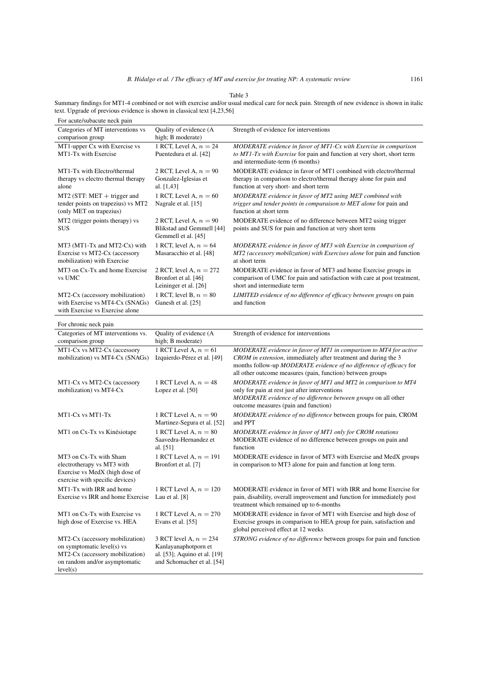Table 3

<span id="page-12-0"></span>Summary findings for MT1-4 combined or not with exercise and/or usual medical care for neck pain. Strength of new evidence is shown in italic text. Upgrade of previous evidence is shown in classical text [\[4,](#page-15-1)[23,](#page-15-18)[56\]](#page-16-21)

| For acute/subacute neck pain                                                                                                                  |                                                                                                                |                                                                                                                                                                                                                                                                           |
|-----------------------------------------------------------------------------------------------------------------------------------------------|----------------------------------------------------------------------------------------------------------------|---------------------------------------------------------------------------------------------------------------------------------------------------------------------------------------------------------------------------------------------------------------------------|
| Categories of MT interventions vs<br>comparison group                                                                                         | Quality of evidence (A<br>high; B moderate)                                                                    | Strength of evidence for interventions                                                                                                                                                                                                                                    |
| MT1-upper Cx with Exercise vs<br>MT1-Tx with Exercise                                                                                         | 1 RCT, Level A, $n = 24$<br>Puentedura et al. [42]                                                             | MODERATE evidence in favor of MT1-Cx with Exercise in comparison<br>to MT1-Tx with Exercise for pain and function at very short, short term<br>and intermediate-term (6 months)                                                                                           |
| MT1-Tx with Electro/thermal<br>therapy vs electro thermal therapy<br>alone                                                                    | 2 RCT, Level A, $n = 90$<br>Gonzalez-Iglesias et<br>al. [1,43]                                                 | MODERATE evidence in favor of MT1 combined with electro/thermal<br>therapy in comparison to electro/thermal therapy alone for pain and<br>function at very short- and short term                                                                                          |
| $MT2$ (STT: MET + trigger and<br>tender points on trapezius) vs MT2<br>(only MET on trapezius)                                                | 1 RCT, Level A, $n = 60$<br>Nagrale et al. [15]                                                                | MODERATE evidence in favor of MT2 using MET combined with<br>trigger and tender points in comparaison to MET alone for pain and<br>function at short term                                                                                                                 |
| MT2 (trigger points therapy) vs<br>SUS                                                                                                        | 2 RCT, Level A, $n = 90$<br>Blikstad and Gemmell [44]<br>Gemmell et al. [45]                                   | MODERATE evidence of no difference between MT2 using trigger<br>points and SUS for pain and function at very short term                                                                                                                                                   |
| MT3 (MT1-Tx and MT2-Cx) with<br>Exercise vs MT2-Cx (accessory<br>mobilization) with Exercise                                                  | 1 RCT, level A, $n = 64$<br>Masaracchio et al. [48]                                                            | MODERATE evidence in favor of MT3 with Exercise in comparison of<br>MT2 (accessory mobilization) with Exercises alone for pain and function<br>at short term                                                                                                              |
| MT3 on Cx-Tx and home Exercise<br>vs UMC                                                                                                      | 2 RCT, level A, $n = 272$<br>Bronfort et al. [46]<br>Leininger et al. [26]                                     | MODERATE evidence in favor of MT3 and home Exercise groups in<br>comparison of UMC for pain and satisfaction with care at post treatment,<br>short and intermediate term                                                                                                  |
| MT2-Cx (accessory mobilization)<br>with Exercise vs MT4-Cx (SNAGs)<br>with Exercise vs Exercise alone                                         | 1 RCT, level B, $n = 80$<br>Ganesh et al. [25]                                                                 | LIMITED evidence of no difference of efficacy between groups on pain<br>and function                                                                                                                                                                                      |
| For chronic neck pain                                                                                                                         |                                                                                                                |                                                                                                                                                                                                                                                                           |
| Categories of MT interventions vs.<br>comparison group                                                                                        | Quality of evidence (A<br>high; B moderate)                                                                    | Strength of evidence for interventions                                                                                                                                                                                                                                    |
| MT1-Cx vs MT2-Cx (accessory<br>mobilization) vs MT4-Cx (SNAGs)                                                                                | 1 RCT Level A, $n = 61$<br>Izquierdo-Pérez et al. [49]                                                         | MODERATE evidence in favor of MT1 in comparison to MT4 for active<br>CROM in extension, immediately after treatment and during the 3<br>months follow-up MODERATE evidence of no difference of efficacy for<br>all other outcome measures (pain, function) between groups |
| MT1-Cx vs MT2-Cx (accessory<br>mobilization) vs MT4-Cx                                                                                        | 1 RCT Level A, $n = 48$<br>Lopez et al. [50]                                                                   | MODERATE evidence in favor of MT1 and MT2 in comparison to MT4<br>only for pain at rest just after interventions<br>MODERATE evidence of no difference between groups on all other<br>outcome measures (pain and function)                                                |
| MT1-Cx vs MT1-Tx                                                                                                                              | 1 RCT Level A, $n = 90$<br>Martinez-Segura et al. [52]                                                         | MODERATE evidence of no difference between groups for pain, CROM<br>and PPT                                                                                                                                                                                               |
| MT1 on Cx-Tx vs Kinésiotape                                                                                                                   | 1 RCT Level A, $n = 80$<br>Saavedra-Hernandez et<br>al. [51]                                                   | MODERATE evidence in favor of MT1 only for CROM rotations<br>MODERATE evidence of no difference between groups on pain and<br>function                                                                                                                                    |
| MT3 on Cx-Tx with Sham<br>electrotherapy vs MT3 with<br>Exercise vs MedX (high dose of<br>exercise with specific devices)                     | 1 RCT Level A, $n = 191$<br>Bronfort et al. [7]                                                                | MODERATE evidence in favor of MT3 with Exercise and MedX groups<br>in comparison to MT3 alone for pain and function at long term.                                                                                                                                         |
| MT1-Tx with IRR and home<br>Exercise vs IRR and home Exercise                                                                                 | 1 RCT Level A, $n = 120$<br>Lau et al. $[8]$                                                                   | MODERATE evidence in favor of MT1 with IRR and home Exercise for<br>pain, disability, overall improvement and function for immediately post<br>treatment which remained up to 6-months                                                                                    |
| MT1 on Cx-Tx with Exercise vs<br>high dose of Exercise vs. HEA                                                                                | 1 RCT Level A, $n = 270$<br>Evans et al. [55]                                                                  | MODERATE evidence in favor of MT1 with Exercise and high dose of<br>Exercise groups in comparison to HEA group for pain, satisfaction and<br>global perceived effect at 12 weeks                                                                                          |
| MT2-Cx (accessory mobilization)<br>on symptomatic level(s) vs<br>MT2-Cx (accessory mobilization)<br>on random and/or asymptomatic<br>level(s) | 3 RCT level A, $n = 234$<br>Kanlayanaphotporn et<br>al. [53]; Aquino et al. [19]<br>and Schomacher et al. [54] | STRONG evidence of no difference between groups for pain and function                                                                                                                                                                                                     |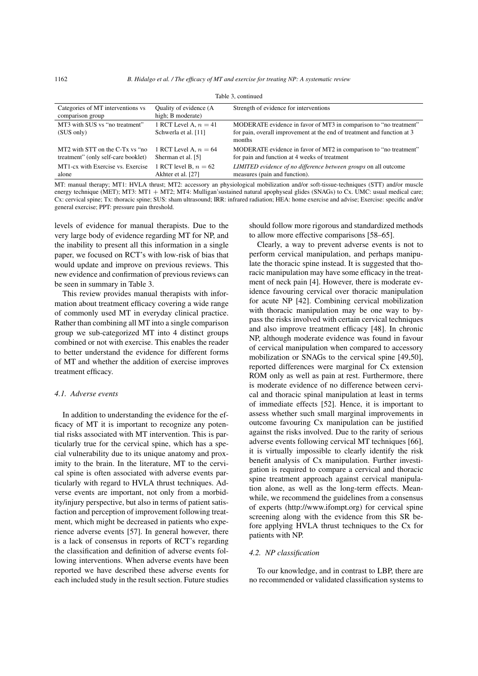| radio <i>J</i> , comunitati                                                        |                                                 |                                                                                                                                                        |  |  |  |
|------------------------------------------------------------------------------------|-------------------------------------------------|--------------------------------------------------------------------------------------------------------------------------------------------------------|--|--|--|
| Categories of MT interventions vs<br>comparison group                              | Quality of evidence (A)<br>high; B moderate)    | Strength of evidence for interventions                                                                                                                 |  |  |  |
| MT3 with SUS vs "no treatment"<br>(SUS only)                                       | 1 RCT Level A, $n = 41$<br>Schwerla et al. [11] | MODERATE evidence in favor of MT3 in comparison to "no treatment"<br>for pain, overall improvement at the end of treatment and function at 3<br>months |  |  |  |
| MT2 with STT on the C-T <sub>x</sub> vs "no<br>treatment" (only self-care booklet) | 1 RCT Level A, $n = 64$<br>Sherman et al. [5]   | MODERATE evidence in favor of MT2 in comparison to "no treatment"<br>for pain and function at 4 weeks of treatment                                     |  |  |  |
| MT1-cx with Exercise vs. Exercise<br>alone                                         | 1 RCT level B, $n = 62$<br>Akhter et al. [27]   | LIMITED evidence of no difference between groups on all outcome<br>measures (pain and function).                                                       |  |  |  |

Table 3, continued

MT: manual therapy; MT1: HVLA thrust; MT2: accessory an physiological mobilization and/or soft-tissue-techniques (STT) and/or muscle energy technique (MET); MT3: MT1 + MT2; MT4: Mulligan'sustained natural apophyseal glides (SNAGs) to Cx. UMC: usual medical care; Cx: cervical spine; Tx: thoracic spine; SUS: sham ultrasound; IRR: infrared radiation; HEA: home exercise and advise; Exercise: specific and/or general exercise; PPT: pressure pain threshold.

levels of evidence for manual therapists. Due to the very large body of evidence regarding MT for NP, and the inability to present all this information in a single paper, we focused on RCT's with low-risk of bias that would update and improve on previous reviews. This new evidence and confirmation of previous reviews can be seen in summary in Table [3.](#page-12-0)

This review provides manual therapists with information about treatment efficacy covering a wide range of commonly used MT in everyday clinical practice. Rather than combining all MT into a single comparison group we sub-categorized MT into 4 distinct groups combined or not with exercise. This enables the reader to better understand the evidence for different forms of MT and whether the addition of exercise improves treatment efficacy.

# *4.1. Adverse events*

In addition to understanding the evidence for the efficacy of MT it is important to recognize any potential risks associated with MT intervention. This is particularly true for the cervical spine, which has a special vulnerability due to its unique anatomy and proximity to the brain. In the literature, MT to the cervical spine is often associated with adverse events particularly with regard to HVLA thrust techniques. Adverse events are important, not only from a morbidity/injury perspective, but also in terms of patient satisfaction and perception of improvement following treatment, which might be decreased in patients who experience adverse events [\[57\]](#page-16-22). In general however, there is a lack of consensus in reports of RCT's regarding the classification and definition of adverse events following interventions. When adverse events have been reported we have described these adverse events for each included study in the result section. Future studies should follow more rigorous and standardized methods to allow more effective comparisons [\[58–](#page-16-23)[65\]](#page-17-0).

Clearly, a way to prevent adverse events is not to perform cervical manipulation, and perhaps manipulate the thoracic spine instead. It is suggested that thoracic manipulation may have some efficacy in the treatment of neck pain [\[4\]](#page-15-1). However, there is moderate evidence favouring cervical over thoracic manipulation for acute NP [\[42\]](#page-16-7). Combining cervical mobilization with thoracic manipulation may be one way to bypass the risks involved with certain cervical techniques and also improve treatment efficacy [\[48\]](#page-16-12). In chronic NP, although moderate evidence was found in favour of cervical manipulation when compared to accessory mobilization or SNAGs to the cervical spine [\[49](#page-16-13)[,50\]](#page-16-14), reported differences were marginal for Cx extension ROM only as well as pain at rest. Furthermore, there is moderate evidence of no difference between cervical and thoracic spinal manipulation at least in terms of immediate effects [\[52\]](#page-16-16). Hence, it is important to assess whether such small marginal improvements in outcome favouring Cx manipulation can be justified against the risks involved. Due to the rarity of serious adverse events following cervical MT techniques [\[66\]](#page-17-1), it is virtually impossible to clearly identify the risk benefit analysis of Cx manipulation. Further investigation is required to compare a cervical and thoracic spine treatment approach against cervical manipulation alone, as well as the long-term effects. Meanwhile, we recommend the guidelines from a consensus of experts (http://www.ifompt.org) for cervical spine screening along with the evidence from this SR before applying HVLA thrust techniques to the Cx for patients with NP.

# *4.2. NP classification*

To our knowledge, and in contrast to LBP, there are no recommended or validated classification systems to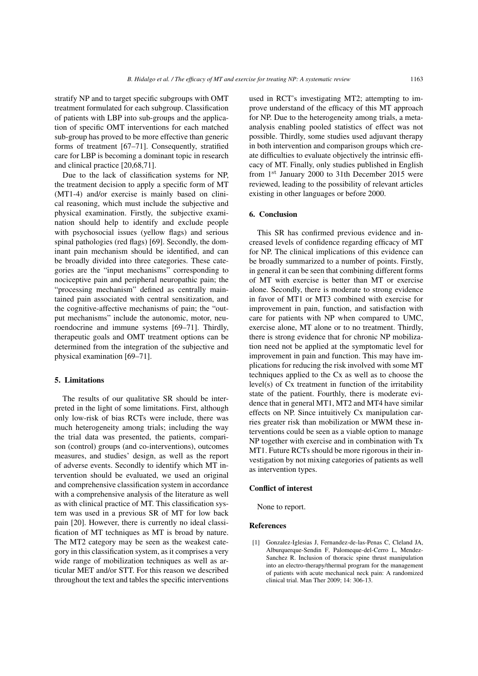stratify NP and to target specific subgroups with OMT treatment formulated for each subgroup. Classification of patients with LBP into sub-groups and the application of specific OMT interventions for each matched sub-group has proved to be more effective than generic forms of treatment [\[67–](#page-17-2)[71\]](#page-17-3). Consequently, stratified care for LBP is becoming a dominant topic in research and clinical practice [\[20,](#page-15-15)[68](#page-17-4)[,71\]](#page-17-3).

Due to the lack of classification systems for NP, the treatment decision to apply a specific form of MT (MT1-4) and/or exercise is mainly based on clinical reasoning, which must include the subjective and physical examination. Firstly, the subjective examination should help to identify and exclude people with psychosocial issues (yellow flags) and serious spinal pathologies (red flags) [\[69\]](#page-17-5). Secondly, the dominant pain mechanism should be identified, and can be broadly divided into three categories. These categories are the "input mechanisms" corresponding to nociceptive pain and peripheral neuropathic pain; the "processing mechanism" defined as centrally maintained pain associated with central sensitization, and the cognitive-affective mechanisms of pain; the "output mechanisms" include the autonomic, motor, neuroendocrine and immune systems [\[69](#page-17-5)[–71\]](#page-17-3). Thirdly, therapeutic goals and OMT treatment options can be determined from the integration of the subjective and physical examination [\[69–](#page-17-5)[71\]](#page-17-3).

#### 5. Limitations

The results of our qualitative SR should be interpreted in the light of some limitations. First, although only low-risk of bias RCTs were include, there was much heterogeneity among trials; including the way the trial data was presented, the patients, comparison (control) groups (and co-interventions), outcomes measures, and studies' design, as well as the report of adverse events. Secondly to identify which MT intervention should be evaluated, we used an original and comprehensive classification system in accordance with a comprehensive analysis of the literature as well as with clinical practice of MT. This classification system was used in a previous SR of MT for low back pain [\[20\]](#page-15-15). However, there is currently no ideal classification of MT techniques as MT is broad by nature. The MT2 category may be seen as the weakest category in this classification system, as it comprises a very wide range of mobilization techniques as well as articular MET and/or STT. For this reason we described throughout the text and tables the specific interventions used in RCT's investigating MT2; attempting to improve understand of the efficacy of this MT approach for NP. Due to the heterogeneity among trials, a metaanalysis enabling pooled statistics of effect was not possible. Thirdly, some studies used adjuvant therapy in both intervention and comparison groups which create difficulties to evaluate objectively the intrinsic efficacy of MT. Finally, only studies published in English from 1st January 2000 to 31th December 2015 were reviewed, leading to the possibility of relevant articles existing in other languages or before 2000.

# 6. Conclusion

This SR has confirmed previous evidence and increased levels of confidence regarding efficacy of MT for NP. The clinical implications of this evidence can be broadly summarized to a number of points. Firstly, in general it can be seen that combining different forms of MT with exercise is better than MT or exercise alone. Secondly, there is moderate to strong evidence in favor of MT1 or MT3 combined with exercise for improvement in pain, function, and satisfaction with care for patients with NP when compared to UMC, exercise alone, MT alone or to no treatment. Thirdly, there is strong evidence that for chronic NP mobilization need not be applied at the symptomatic level for improvement in pain and function. This may have implications for reducing the risk involved with some MT techniques applied to the Cx as well as to choose the level(s) of Cx treatment in function of the irritability state of the patient. Fourthly, there is moderate evidence that in general MT1, MT2 and MT4 have similar effects on NP. Since intuitively Cx manipulation carries greater risk than mobilization or MWM these interventions could be seen as a viable option to manage NP together with exercise and in combination with Tx MT1. Future RCTs should be more rigorous in their investigation by not mixing categories of patients as well as intervention types.

# Conflict of interest

None to report.

# References

<span id="page-14-0"></span>[1] Gonzalez-Iglesias J, Fernandez-de-las-Penas C, Cleland JA, Alburquerque-Sendin F, Palomeque-del-Cerro L, Mendez-Sanchez R. Inclusion of thoracic spine thrust manipulation into an electro-therapy/thermal program for the management of patients with acute mechanical neck pain: A randomized clinical trial. Man Ther 2009; 14: 306-13.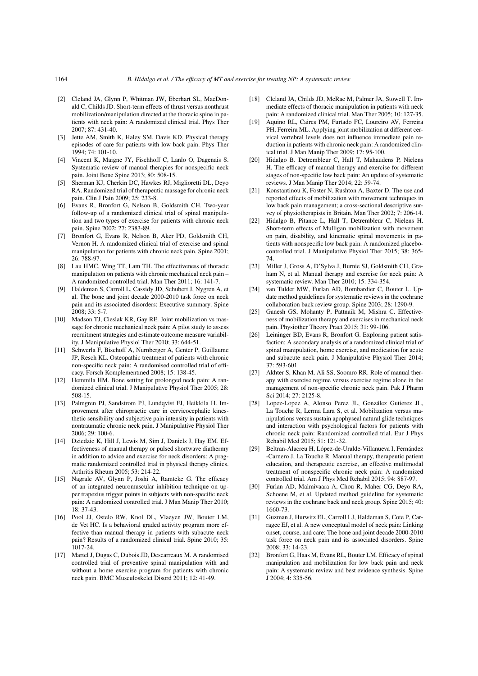- <span id="page-15-2"></span>[2] Cleland JA, Glynn P, Whitman JW, Eberhart SL, MacDonald C, Childs JD. Short-term effects of thrust versus nonthrust mobilization/manipulation directed at the thoracic spine in patients with neck pain: A randomized clinical trial. Phys Ther 2007; 87: 431-40.
- [3] Jette AM, Smith K, Haley SM, Davis KD. Physical therapy episodes of care for patients with low back pain. Phys Ther 1994; 74: 101-10.
- <span id="page-15-1"></span>[4] Vincent K, Maigne JY, Fischhoff C, Lanlo O, Dagenais S. Systematic review of manual therapies for nonspecific neck pain. Joint Bone Spine 2013; 80: 508-15.
- <span id="page-15-3"></span>[5] Sherman KJ, Cherkin DC, Hawkes RJ, Miglioretti DL, Deyo RA. Randomized trial of therapeutic massage for chronic neck pain. Clin J Pain 2009; 25: 233-8.
- <span id="page-15-8"></span>[6] Evans R, Bronfort G, Nelson B, Goldsmith CH. Two-year follow-up of a randomized clinical trial of spinal manipulation and two types of exercise for patients with chronic neck pain. Spine 2002; 27: 2383-89.
- <span id="page-15-7"></span>[7] Bronfort G, Evans R, Nelson B, Aker PD, Goldsmith CH, Vernon H. A randomized clinical trial of exercise and spinal manipulation for patients with chronic neck pain. Spine 2001; 26: 788-97.
- <span id="page-15-4"></span>[8] Lau HMC, Wing TT, Lam TH. The effectiveness of thoracic manipulation on patients with chronic mechanical neck pain – A randomized controlled trial. Man Ther 2011; 16: 141-7.
- <span id="page-15-0"></span>[9] Haldeman S, Carroll L, Cassidy JD, Schubert J, Nygren A, et al. The bone and joint decade 2000-2010 task force on neck pain and its associated disorders: Executive summary. Spine 2008; 33: 5-7.
- <span id="page-15-5"></span>[10] Madson TJ, Cieslak KR, Gay RE. Joint mobilization vs massage for chronic mechanical neck pain: A pilot study to assess recruitment strategies and estimate outcome measure variability. J Manipulative Physiol Ther 2010; 33: 644-51.
- <span id="page-15-11"></span>[11] Schwerla F, Bischoff A, Nurnberger A, Genter P, Guillaume JP, Resch KL. Osteopathic treatment of patients with chronic non-specific neck pain: A randomised controlled trial of efficacy. Forsch Komplementmed 2008; 15: 138-45.
- [12] Hemmila HM. Bone setting for prolonged neck pain: A randomized clinical trial. J Manipulative Physiol Ther 2005; 28: 508-15.
- <span id="page-15-6"></span>[13] Palmgren PJ, Sandstrom PJ, Lundqvist FJ, Heikkila H. Improvement after chiropractic care in cervicocephalic kinesthetic sensibility and subjective pain intensity in patients with nontraumatic chronic neck pain. J Manipulative Physiol Ther 2006; 29: 100-6.
- <span id="page-15-9"></span>[14] Dziedzic K, Hill J, Lewis M, Sim J, Daniels J, Hay EM. Effectiveness of manual therapy or pulsed shortwave diathermy in addition to advice and exercise for neck disorders: A pragmatic randomized controlled trial in physical therapy clinics. Arthritis Rheum 2005; 53: 214-22.
- <span id="page-15-10"></span>[15] Nagrale AV, Glynn P, Joshi A, Ramteke G. The efficacy of an integrated neuromuscular inhibition technique on upper trapezius trigger points in subjects with non-specific neck pain: A randomized controlled trial. J Man Manip Ther 2010; 18: 37-43.
- <span id="page-15-12"></span>[16] Pool JJ, Ostelo RW, Knol DL, Vlaeyen JW, Bouter LM, de Vet HC. Is a behavioral graded activity program more effective than manual therapy in patients with subacute neck pain? Results of a randomized clinical trial. Spine 2010; 35: 1017-24.
- <span id="page-15-13"></span>[17] Martel J, Dugas C, Dubois JD, Descarreaux M. A randomised controlled trial of preventive spinal manipulation with and without a home exercise program for patients with chronic neck pain. BMC Musculoskelet Disord 2011; 12: 41-49.
- <span id="page-15-14"></span>[18] Cleland JA, Childs JD, McRae M, Palmer JA, Stowell T. Immediate effects of thoracic manipulation in patients with neck pain: A randomized clinical trial. Man Ther 2005; 10: 127-35.
- <span id="page-15-26"></span>[19] Aquino RL, Caires PM, Furtado FC, Loureiro AV, Ferreira PH, Ferreira ML. Applying joint mobilization at different cervical vertebral levels does not influence immediate pain reduction in patients with chronic neck pain: A randomized clinical trial. J Man Manip Ther 2009; 17: 95-100.
- <span id="page-15-15"></span>Hidalgo B. Detrembleur C, Hall T, Mahaudens P, Nielens H. The efficacy of manual therapy and exercise for different stages of non-specific low back pain: An update of systematic reviews. J Man Manip Ther 2014; 22: 59-74.
- <span id="page-15-16"></span>[21] Konstantinou K, Foster N, Rushton A, Baxter D. The use and reported effects of mobilization with movement techniques in low back pain management; a cross-sectional descriptive survey of physiotherapists in Britain. Man Ther 2002; 7: 206-14.
- <span id="page-15-17"></span>[22] Hidalgo B, Pitance L, Hall T, Detrembleur C, Nielens H. Short-term effects of Mulligan mobilization with movement on pain, disability, and kinematic spinal movements in patients with nonspecific low back pain: A randomized placebocontrolled trial. J Manipulative Physiol Ther 2015; 38: 365- 74.
- <span id="page-15-18"></span>[23] Miller J, Gross A, D'Sylva J, Burnie SJ, Goldsmith CH, Graham N, et al. Manual therapy and exercise for neck pain: A systematic review. Man Ther 2010; 15: 334-354.
- <span id="page-15-21"></span>[24] van Tulder MW, Furlan AD, Bombardier C, Bouter L. Update method guidelines for systematic reviews in the cochrane collaboration back review group. Spine 2003; 28: 1290-9.
- <span id="page-15-19"></span>[25] Ganesh GS, Mohanty P, Pattnaik M, Mishra C. Effectiveness of mobilization therapy and exercises in mechanical neck pain. Physiother Theory Pract 2015; 31: 99-106.
- <span id="page-15-25"></span>[26] Leininger BD, Evans R, Bronfort G. Exploring patient satisfaction: A secondary analysis of a randomized clinical trial of spinal manipulation, home exercise, and medication for acute and subacute neck pain. J Manipulative Physiol Ther 2014; 37: 593-601.
- <span id="page-15-27"></span>[27] Akhter S, Khan M, Ali SS, Soomro RR. Role of manual therapy with exercise regime versus exercise regime alone in the management of non-specific chronic neck pain. Pak J Pharm Sci 2014; 27: 2125-8.
- [28] Lopez-Lopez A, Alonso Perez JL, González Gutierez JL, La Touche R, Lerma Lara S, et al. Mobilization versus manipulations versus sustain apophyseal natural glide techniques and interaction with psychological factors for patients with chronic neck pain: Randomized controlled trial. Eur J Phys Rehabil Med 2015; 51: 121-32.
- <span id="page-15-20"></span>[29] Beltran-Alacreu H, López-de-Uralde-Villanueva I, Fernández -Carnero J, La Touche R. Manual therapy, therapeutic patient education, and therapeutic exercise, an effective multimodal treatment of nonspecific chronic neck pain: A randomized controlled trial. Am J Phys Med Rehabil 2015; 94: 887-97.
- <span id="page-15-22"></span>[30] Furlan AD, Malmivaara A, Chou R, Maher CG, Deyo RA, Schoene M, et al. Updated method guideline for systematic reviews in the cochrane back and neck group. Spine 2015; 40: 1660-73.
- <span id="page-15-23"></span>[31] Guzman J, Hurwitz EL, Carroll LJ, Haldeman S, Cote P, Carragee EJ, et al. A new conceptual model of neck pain: Linking onset, course, and care: The bone and joint decade 2000-2010 task force on neck pain and its associated disorders. Spine 2008; 33: 14-23.
- <span id="page-15-24"></span>[32] Bronfort G, Haas M, Evans RL, Bouter LM. Efficacy of spinal manipulation and mobilization for low back pain and neck pain: A systematic review and best evidence synthesis. Spine J 2004; 4: 335-56.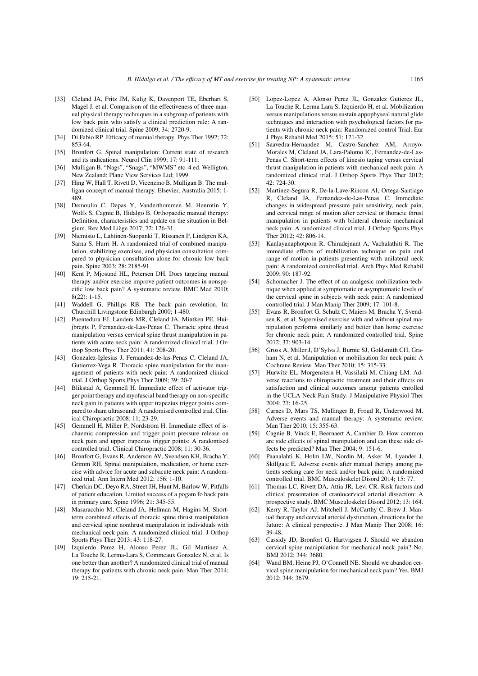- <span id="page-16-4"></span>[33] Cleland JA, Fritz JM, Kulig K, Davenport TE, Eberhart S, Magel J, et al. Comparison of the effectiveness of three manual physical therapy techniques in a subgroup of patients with low back pain who satisfy a clinical prediction rule: A randomized clinical trial. Spine 2009; 34: 2720-9.
- <span id="page-16-0"></span>[34] Di Fabio RP. Efficacy of manual therapy. Phys Ther 1992; 72: 853-64.
- <span id="page-16-1"></span>[35] Bronfort G. Spinal manipulation: Current state of research and its indications. Neurol Clin 1999; 17: 91-111.
- <span id="page-16-2"></span>[36] Mulligan B. "Nags", "Snags", "MWMS" etc. 4 ed. Welligton, New Zealand: Plane View Services Ltd; 1999.
- <span id="page-16-3"></span>[37] Hing W, Hall T, Rivett D, Vicenzino B, Mulligan B. The mulligan concept of manual therapy. Elsevier, Australia 2015; 1- 489.
- <span id="page-16-5"></span>[38] Demoulin C, Depas Y, Vanderthommen M, Henrotin Y, Wolfs S, Cagnie B, Hidalgo B. Orthopaedic manual therapy: Definition, characteristics and update on the situation in Belgium. Rev Med Liège 2017; 72: 126-31.
- [39] Niemisto L, Lahtinen-Suopanki T, Rissanen P, Lindgren KA, Sarna S, Hurri H. A randomized trial of combined manipulation, stabilizing exercises, and physician consultation compared to physician consultation alone for chronic low back pain. Spine 2003; 28: 2185-91.
- [40] Kent P, Mjosund HL, Petersen DH. Does targeting manual therapy and/or exercise improve patient outcomes in nonspecific low back pain? A systematic review. BMC Med 2010; 8(22): 1-15.
- <span id="page-16-6"></span>[41] Waddell G, Phillips RB. The back pain revolution. In: Churchill Livingstone Edinburgh 2000; 1-480.
- <span id="page-16-7"></span>[42] Puentedura EJ, Landers MR, Cleland JA, Mintken PE, Huijbregts P, Fernandez-de-Las-Penas C. Thoracic spine thrust manipulation versus cervical spine thrust manipulation in patients with acute neck pain: A randomized clinical trial. J Orthop Sports Phys Ther 2011; 41: 208-20.
- <span id="page-16-8"></span>[43] Gonzalez-Iglesias J, Fernandez-de-las-Penas C, Cleland JA, Gutierrez-Vega R. Thoracic spine manipulation for the management of patients with neck pain: A randomized clinical trial. J Orthop Sports Phys Ther 2009; 39: 20-7.
- <span id="page-16-9"></span>[44] Blikstad A, Gemmell H. Immediate effect of activator trigger point therapy and myofascial band therapy on non-specific neck pain in patients with upper trapezius trigger points compared to sham ultrasound: A randomised controlled trial. Clinical Chiropractic 2008; 11: 23-29.
- <span id="page-16-10"></span>[45] Gemmell H, Miller P, Nordstrom H. Immediate effect of ischaemic compression and trigger point pressure release on neck pain and upper trapezius trigger points: A randomised controlled trial. Clinical Chiropractic 2008; 11: 30-36.
- <span id="page-16-11"></span>[46] Bronfort G, Evans R, Anderson AV, Svendsen KH, Bracha Y, Grimm RH. Spinal manipulation, medication, or home exercise with advice for acute and subacute neck pain: A randomized trial. Ann Intern Med 2012; 156: 1-10.
- <span id="page-16-20"></span>[47] Cherkin DC, Deyo RA, Street JH, Hunt M, Barlow W. Pitfalls of patient education. Limited success of a pogam fo back pain in primary care. Spine 1996; 21: 345-55.
- <span id="page-16-12"></span>[48] Masaracchio M, Cleland JA, Hellman M, Hagins M. Shortterm combined effects of thoracic spine thrust manipulation and cervical spine nonthrust manipulation in individuals with mechanical neck pain: A randomized clinical trial. J Orthop Sports Phys Ther 2013; 43: 118-27.
- <span id="page-16-13"></span>[49] Izquierdo Perez H, Alonso Perez JL, Gil Martinez A, La Touche R, Lerma-Lara S, Commeaux Gonzalez N, et al. Is one better than another? A randomized clinical trial of manual therapy for patients with chronic neck pain. Man Ther 2014; 19: 215-21.
- <span id="page-16-14"></span>[50] Lopez-Lopez A, Alonso Perez JL, Gonzalez Gutierez JL, La Touche R, Lerma Lara S, Izquierdo H, et al. Mobilization versus manipulations versus sustain appophyseal natural glide techniques and interaction with psychological factors for patients with chronic neck pain: Randomized control Trial. Eur J Phys Rehabil Med 2015; 51: 121-32.
- <span id="page-16-15"></span>[51] Saavedra-Hernandez M, Castro-Sanchez AM, Arroyo-Morales M, Cleland JA, Lara-Palomo IC, Fernandez-de-Las-Penas C. Short-term effects of kinesio taping versus cervical thrust manipulation in patients with mechanical neck pain: A randomized clinical trial. J Orthop Sports Phys Ther 2012;  $42.724-30.$
- <span id="page-16-16"></span>[52] Martinez-Segura R, De-la-Lave-Rincon AI, Ortega-Santiago R, Cleland JA, Fernandez-de-Las-Penas C. Immediate changes in widespread pressure pain sensitivity, neck pain, and cervical range of motion after cervical or thoracic thrust manipulation in patients with bilateral chronic mechanical neck pain: A randomized clinical trial. J Orthop Sports Phys Ther 2012; 42: 806-14.
- <span id="page-16-17"></span>[53] Kanlayanaphotporn R, Chiradejnant A, Vachalathiti R. The immediate effects of mobilization technique on pain and range of motion in patients presenting with unilateral neck pain: A randomized controlled trial. Arch Phys Med Rehabil 2009; 90: 187-92.
- <span id="page-16-18"></span>[54] Schomacher J. The effect of an analgesic mobilization technique when applied at symptomatic or asymptomatic levels of the cervical spine in subjects with neck pain: A randomized controlled trial. J Man Manip Ther 2009; 17: 101-8.
- <span id="page-16-19"></span>[55] Evans R, Bronfort G, Schulz C, Maiers M, Bracha Y, Svendsen K, et al. Supervised exercise with and without spinal manipulation performs similarly and better than home exercise for chronic neck pain: A randomized controlled trial. Spine 2012; 37: 903-14.
- <span id="page-16-21"></span>[56] Gross A, Miller J, D'Sylva J, Burnie SJ, Goldsmith CH, Graham N, et al. Manipulation or mobilisation for neck pain: A Cochrane Review. Man Ther 2010; 15: 315-33.
- <span id="page-16-22"></span>[57] Hurwitz EL, Morgenstern H, Vassilaki M, Chiang LM. Adverse reactions to chiropractic treatment and their effects on satisfaction and clinical outcomes among patients enrolled in the UCLA Neck Pain Study. J Manipulative Physiol Ther 2004; 27: 16-25.
- <span id="page-16-23"></span>[58] Carnes D, Mars TS, Mullinger B, Froud R, Underwood M. Adverse events and manual therapy: A systematic review. Man Ther 2010; 15: 355-63.
- [59] Cagnie B, Vinck E, Beernaert A, Cambier D. How common are side effects of spinal manipulation and can these side effects be predicted? Man Ther 2004; 9: 151-6.
- [60] Paanalahti K, Holm LW, Nordin M, Asker M, Lyander J, Skillgate E. Adverse events after manual therapy among patients seeking care for neck and/or back pain: A randomized controlled trial. BMC Musculoskelet Disord 2014; 15: 77.
- [61] Thomas LC, Rivett DA, Attia JR, Levi CR. Risk factors and clinical presentation of craniocervical arterial dissection: A prospective study. BMC Musculoskelet Disord 2012; 13: 164.
- [62] Kerry R, Taylor AJ, Mitchell J, McCarthy C, Brew J. Manual therapy and cervical arterial dysfunction, directions for the future: A clinical perspective. J Man Manip Ther 2008; 16: 39-48.
- [63] Cassidy JD, Bronfort G, Hartvigsen J. Should we abandon cervical spine manipulation for mechanical neck pain? No. BMJ 2012; 344: 3680.
- [64] Wand BM, Heine PJ, O'Connell NE. Should we abandon cervical spine manipulation for mechanical neck pain? Yes. BMJ 2012; 344: 3679.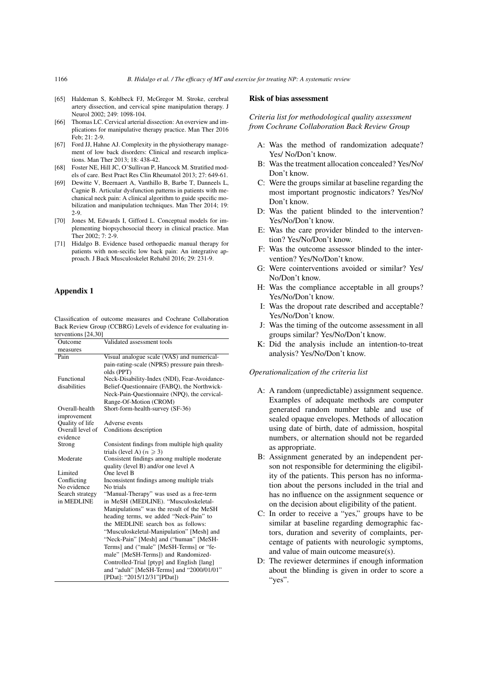- <span id="page-17-0"></span>[65] Haldeman S, Kohlbeck FJ, McGregor M. Stroke, cerebral artery dissection, and cervical spine manipulation therapy. J Neurol 2002; 249: 1098-104.
- <span id="page-17-1"></span>[66] Thomas LC. Cervical arterial dissection: An overview and implications for manipulative therapy practice. Man Ther 2016 Feb; 21: 2-9.
- <span id="page-17-2"></span>[67] Ford JJ, Hahne AJ. Complexity in the physiotherapy management of low back disorders: Clinical and research implications. Man Ther 2013; 18: 438-42.
- <span id="page-17-4"></span>[68] Foster NE, Hill JC, O'Sullivan P, Hancock M. Stratified models of care. Best Pract Res Clin Rheumatol 2013; 27: 649-61.
- <span id="page-17-5"></span>[69] Dewitte V, Beernaert A, Vanthillo B, Barbe T, Danneels L, Cagnie B. Articular dysfunction patterns in patients with mechanical neck pain: A clinical algorithm to guide specific mobilization and manipulation techniques. Man Ther 2014; 19: 2-9.
- [70] Jones M, Edwards I, Gifford L. Conceptual models for implementing biopsychosocial theory in clinical practice. Man Ther 2002; 7: 2-9.
- <span id="page-17-3"></span>[71] Hidalgo B. Evidence based orthopaedic manual therapy for patients with non-secific low back pain: An integrative approach. J Back Musculoskelet Rehabil 2016; 29: 231-9.

# Appendix 1

Classification of outcome measures and Cochrane Collaboration Back Review Group (CCBRG) Levels of evidence for evaluating interventions [\[24,](#page-15-21)[30\]](#page-15-22)

| Outcome                | Validated assessment tools                     |
|------------------------|------------------------------------------------|
| measures               |                                                |
| Pain                   | Visual analogue scale (VAS) and numerical-     |
|                        | pain-rating-scale (NPRS) pressure pain thresh- |
|                        | olds (PPT)                                     |
| Functional             | Neck-Disability-Index (NDI), Fear-Avoidance-   |
| disabilities           | Belief-Questionnaire (FABQ), the Northwick-    |
|                        | Neck-Pain-Questionnaire (NPQ), the cervical-   |
|                        | Range-Of-Motion (CROM)                         |
| Overall-health         | Short-form-health-survey (SF-36)               |
| improvement            |                                                |
| <b>Ouality of life</b> | Adverse events                                 |
| Overall level of       | Conditions description                         |
| evidence               |                                                |
| Strong                 | Consistent findings from multiple high quality |
|                        | trials (level A) $(n \ge 3)$                   |
| Moderate               | Consistent findings among multiple moderate    |
|                        | quality (level B) and/or one level A           |
| Limited                | One level B                                    |
| Conflicting            | Inconsistent findings among multiple trials    |
| No evidence            | No trials                                      |
| Search strategy        | "Manual-Therapy" was used as a free-term       |
| in MEDLINE             | in MeSH (MEDLINE). "Musculoskeletal-           |
|                        | Manipulations" was the result of the MeSH      |
|                        | heading terms, we added "Neck-Pain" to         |
|                        | the MEDLINE search box as follows:             |
|                        | "Musculoskeletal-Manipulation" [Mesh] and      |
|                        | "Neck-Pain" [Mesh] and ("human" [MeSH-         |
|                        | Terms] and ("male" [MeSH-Terms] or "fe-        |
|                        | male" [MeSH-Terms]) and Randomized-            |
|                        | Controlled-Trial [ptyp] and English [lang]     |
|                        | and "adult" [MeSH-Terms] and "2000/01/01"      |
|                        | [PDat]: "2015/12/31"[PDat])                    |

#### Risk of bias assessment

*Criteria list for methodological quality assessment from Cochrane Collaboration Back Review Group*

- A: Was the method of randomization adequate? Yes/ No/Don't know.
- B: Was the treatment allocation concealed? Yes/No/ Don't know.
- C: Were the groups similar at baseline regarding the most important prognostic indicators? Yes/No/ Don't know.
- D: Was the patient blinded to the intervention? Yes/No/Don't know.
- E: Was the care provider blinded to the intervention? Yes/No/Don't know.
- F: Was the outcome assessor blinded to the intervention? Yes/No/Don't know.
- G: Were cointerventions avoided or similar? Yes/ No/Don't know.
- H: Was the compliance acceptable in all groups? Yes/No/Don't know.
- I: Was the dropout rate described and acceptable? Yes/No/Don't know.
- J: Was the timing of the outcome assessment in all groups similar? Yes/No/Don't know.
- K: Did the analysis include an intention-to-treat analysis? Yes/No/Don't know.

# *Operationalization of the criteria list*

- A: A random (unpredictable) assignment sequence. Examples of adequate methods are computer generated random number table and use of sealed opaque envelopes. Methods of allocation using date of birth, date of admission, hospital numbers, or alternation should not be regarded as appropriate.
- B: Assignment generated by an independent person not responsible for determining the eligibility of the patients. This person has no information about the persons included in the trial and has no influence on the assignment sequence or on the decision about eligibility of the patient.
- C: In order to receive a "yes," groups have to be similar at baseline regarding demographic factors, duration and severity of complaints, percentage of patients with neurologic symptoms, and value of main outcome measure(s).
- D: The reviewer determines if enough information about the blinding is given in order to score a "yes".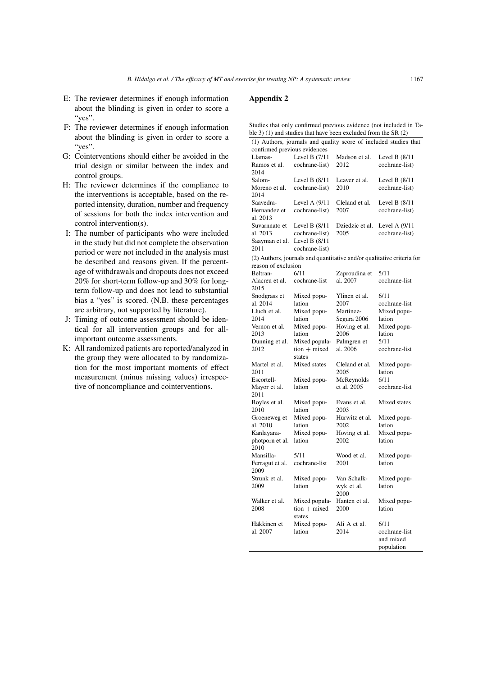- E: The reviewer determines if enough information about the blinding is given in order to score a "yes".
- F: The reviewer determines if enough information about the blinding is given in order to score a "yes".
- G: Cointerventions should either be avoided in the trial design or similar between the index and control groups.
- H: The reviewer determines if the compliance to the interventions is acceptable, based on the reported intensity, duration, number and frequency of sessions for both the index intervention and control intervention(s).
- I: The number of participants who were included in the study but did not complete the observation period or were not included in the analysis must be described and reasons given. If the percentage of withdrawals and dropouts does not exceed 20% for short-term follow-up and 30% for longterm follow-up and does not lead to substantial bias a "yes" is scored. (N.B. these percentages are arbitrary, not supported by literature).
- J: Timing of outcome assessment should be identical for all intervention groups and for allimportant outcome assessments.
- K: All randomized patients are reported/analyzed in the group they were allocated to by randomization for the most important moments of effect measurement (minus missing values) irrespective of noncompliance and cointerventions.

# Appendix 2

| Studies that only confirmed previous evidence (not included in Ta- |  |  |
|--------------------------------------------------------------------|--|--|
| ble 3) $(1)$ and studies that have been excluded from the SR $(2)$ |  |  |

| $\sim$ $\sim$ $/$ $\sim$ $/$ and statics | $\cdots$         |                 |                                                                        |
|------------------------------------------|------------------|-----------------|------------------------------------------------------------------------|
|                                          |                  |                 | (1) Authors, journals and quality score of included studies that       |
| confirmed previous evidences             |                  |                 |                                                                        |
| Llamas-                                  | Level B (7/11    | Madson et al.   | Level B $(8/11)$                                                       |
| Ramos et al.                             | cochrane-list)   | 2012            | cochrane-list)                                                         |
| 2014                                     |                  |                 |                                                                        |
| Salom-                                   | Level B $(8/11)$ | Leaver et al.   | Level B (8/11                                                          |
| Moreno et al.<br>2014                    | cochrane-list)   | 2010            | cochrane-list)                                                         |
| Saavedra-                                | Level A $(9/11)$ | Cleland et al.  | Level B $(8/11)$                                                       |
| Hernandez et                             | cochrane-list)   | 2007            | cochrane-list)                                                         |
| al. 2013                                 |                  |                 |                                                                        |
| Suvarnnato et                            | Level B $(8/11)$ | Dziedzic et al. | Level A (9/11                                                          |
| al. 2013                                 | cochrane-list)   | 2005            | cochrane-list)                                                         |
| Saayman et al.                           | Level B $(8/11)$ |                 |                                                                        |
| 2011                                     | cochrane-list)   |                 |                                                                        |
|                                          |                  |                 | (2) Authors, journals and quantitative and/or qualitative criteria for |
| reason of exclusion                      |                  |                 |                                                                        |
| Beltran-                                 | 6/11             | Zaproudina et   | 5/11                                                                   |
| Alacreu et al.                           | cochrane-list    | al. 2007        | cochrane-list                                                          |
| 2015                                     |                  |                 |                                                                        |
| Snodgrass et                             | Mixed popu-      | Ylinen et al.   | 6/11                                                                   |
| al. 2014                                 | lation           | 2007            | cochrane-list                                                          |
| Lluch et al.                             | Mixed popu-      | Martinez-       | Mixed popu-                                                            |
| 2014                                     | lation           | Segura 2006     | lation                                                                 |
| Vernon et al.                            | Mixed popu-      | Hoving et al.   | Mixed popu-                                                            |
| 2013                                     | lation           | 2006            | lation                                                                 |
| Dunning et al.                           | Mixed popula-    | Palmgren et     | 5/11                                                                   |
| 2012                                     | $tion + mixed$   | al. 2006        | cochrane-list                                                          |
|                                          | states           |                 |                                                                        |
| Martel et al.                            | Mixed states     | Cleland et al.  | Mixed popu-                                                            |
| 2011                                     |                  | 2005            | lation                                                                 |
| Escortell-                               | Mixed popu-      | McReynolds      | 6/11                                                                   |
| Mayor et al.                             | lation           | et al. 2005     | cochrane-list                                                          |
| 2011                                     |                  |                 |                                                                        |
| Boyles et al.                            | Mixed popu-      | Evans et al.    | Mixed states                                                           |
| 2010                                     | lation           | 2003            |                                                                        |
| Groeneweg et                             | Mixed popu-      | Hurwitz et al.  | Mixed popu-                                                            |
| al. 2010                                 | lation           | 2002            | lation                                                                 |
| Kanlayana-                               | Mixed popu-      | Hoving et al.   | Mixed popu-                                                            |
| photporn et al.                          | lation           | 2002            | lation                                                                 |
| 2010                                     |                  |                 |                                                                        |
| Mansilla-                                | 5/11             | Wood et al.     | Mixed popu-                                                            |
| Ferragut et al.                          | cochrane-list    | 2001            | lation                                                                 |
| 2009                                     |                  |                 |                                                                        |
| Strunk et al.                            | Mixed popu-      | Van Schalk-     | Mixed popu-                                                            |
| 2009                                     | lation           | wyk et al.      | lation                                                                 |
|                                          |                  | 2000            |                                                                        |
| Walker et al.                            | Mixed popula-    | Hanten et al.   | Mixed popu-                                                            |
| 2008                                     | $tion + mixed$   | 2000            | lation                                                                 |
|                                          | states           |                 |                                                                        |
| Häkkinen et                              | Mixed popu-      | Ali A et al.    | 6/11                                                                   |
| al. 2007                                 | lation           | 2014            | cochrane-list                                                          |
|                                          |                  |                 |                                                                        |
|                                          |                  |                 | and mixed                                                              |
|                                          |                  |                 | population                                                             |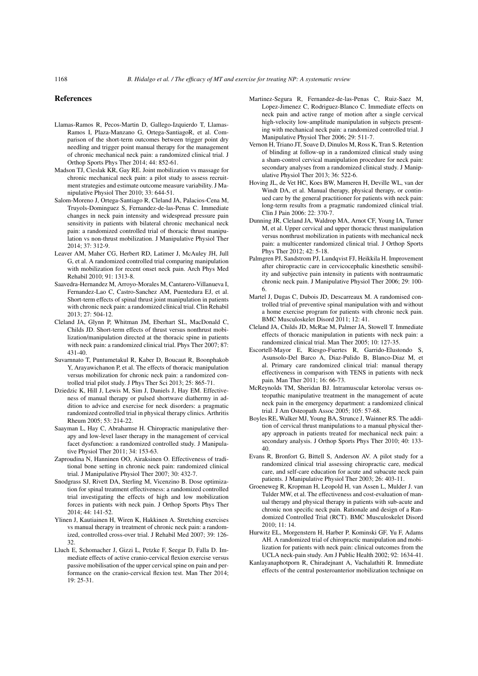#### References

- Llamas-Ramos R, Pecos-Martin D, Gallego-Izquierdo T, Llamas-Ramos I, Plaza-Manzano G, Ortega-SantiagoR, et al. Comparison of the short-term outcomes between trigger point dry needling and trigger point manual therapy for the management of chronic mechanical neck pain: a randomized clinical trial. J Orthop Sports Phys Ther 2014; 44: 852-61.
- Madson TJ, Cieslak KR, Gay RE. Joint mobilization vs massage for chronic mechanical neck pain: a pilot study to assess recruitment strategies and estimate outcome measure variability. J Manipulative Physiol Ther 2010; 33: 644-51.
- Salom-Moreno J, Ortega-Santiago R, Cleland JA, Palacios-Cena M, Truyols-Dominguez S, Fernandez-de-las-Penas C. Immediate changes in neck pain intensity and widespread pressure pain sensitivity in patients with bilateral chronic mechanical neck pain: a randomized controlled trial of thoracic thrust manipulation vs non-thrust mobilization. J Manipulative Physiol Ther 2014; 37: 312-9.
- Leaver AM, Maher CG, Herbert RD, Latimer J, McAuley JH, Jull G, et al. A randomized controlled trial comparing manipulation with mobilization for recent onset neck pain. Arch Phys Med Rehabil 2010; 91: 1313-8.
- Saavedra-Hernandez M, Arroyo-Morales M, Cantarero-Villanueva I, Fernandez-Lao C, Castro-Sanchez AM, Puentedura EJ, et al. Short-term effects of spinal thrust joint manipulation in patients with chronic neck pain: a randomized clinical trial. Clin Rehabil 2013; 27: 504-12.
- Cleland JA, Glynn P, Whitman JM, Eberhart SL, MacDonald C, Childs JD. Short-term effects of thrust versus nonthrust mobilization/manipulation directed at the thoracic spine in patients with neck pain: a randomized clinical trial. Phys Ther 2007; 87: 431-40.
- Suvarnnato T, Puntumetakul R, Kaber D, Boucaut R, Boonphakob Y, Arayawichanon P, et al. The effects of thoracic manipulation versus mobilization for chronic neck pain: a randomized controlled trial pilot study. J Phys Ther Sci 2013; 25: 865-71.
- Dziedzic K, Hill J, Lewis M, Sim J, Daniels J, Hay EM. Effectiveness of manual therapy or pulsed shortwave diathermy in addition to advice and exercise for neck disorders: a pragmatic randomized controlled trial in physical therapy clinics. Arthritis Rheum 2005; 53: 214-22.
- Saayman L, Hay C, Abrahamse H. Chiropractic manipulative therapy and low-level laser therapy in the management of cervical facet dysfunction: a randomized controlled study. J Manipulative Physiol Ther 2011; 34: 153-63.
- Zaproudina N, Hanninen OO, Airaksinen O. Effectiveness of traditional bone setting in chronic neck pain: randomized clinical trial. J Manipulative Physiol Ther 2007; 30: 432-7.
- Snodgrass SJ, Rivett DA, Sterling M, Vicenzino B. Dose optimization for spinal treatment effectiveness: a randomized controlled trial investigating the effects of high and low mobilization forces in patients with neck pain. J Orthop Sports Phys Ther 2014; 44: 141-52.
- Ylinen J, Kautiainen H, Wiren K, Hakkinen A. Stretching exercises vs manual therapy in treatment of chronic neck pain: a randomized, controlled cross-over trial. J Rehabil Med 2007; 39: 126- 32.
- Lluch E, Schomacher J, Gizzi L, Petzke F, Seegar D, Falla D. Immediate effects of active cranio-cervical flexion exercise versus passive mobilisation of the upper cervical spine on pain and performance on the cranio-cervical flexion test. Man Ther 2014; 19: 25-31.
- Martinez-Segura R, Fernandez-de-las-Penas C, Ruiz-Saez M, Lopez-Jimenez C, Rodriguez-Blanco C. Immediate effects on neck pain and active range of motion after a single cervical high-velocity low-amplitude manipulation in subjects presenting with mechanical neck pain: a randomized controlled trial. J Manipulative Physiol Ther 2006; 29: 511-7.
- Vernon H, Triano JT, Soave D, Dinulos M, Ross K, Tran S. Retention of blinding at follow-up in a randomized clinical study using a sham-control cervical manipulation procedure for neck pain: secondary analyses from a randomized clinical study. J Manipulative Physiol Ther 2013; 36: 522-6.
- Hoving JL, de Vet HC, Koes BW, Mameren H, Deville WL, van der Windt DA, et al. Manual therapy, physical therapy, or continued care by the general practitioner for patients with neck pain: long-term results from a pragmatic randomized clinical trial. Clin J Pain 2006: 22: 370-7.
- Dunning JR, Cleland JA, Waldrop MA, Arnot CF, Young IA, Turner M, et al. Upper cervical and upper thoracic thrust manipulation versus nonthrust mobilization in patients with mechanical neck pain: a multicenter randomized clinical trial. J Orthop Sports Phys Ther 2012; 42: 5-18.
- Palmgren PJ, Sandstrom PJ, Lundqvist FJ, Heikkila H. Improvement after chiropractic care in cervicocephalic kinesthetic sensibility and subjective pain intensity in patients with nontraumatic chronic neck pain. J Manipulative Physiol Ther 2006; 29: 100- 6.
- Martel J, Dugas C, Dubois JD, Descarreaux M. A randomised controlled trial of preventive spinal manipulation with and without a home exercise program for patients with chronic neck pain. BMC Musculoskelet Disord 2011; 12: 41.
- Cleland JA, Childs JD, McRae M, Palmer JA, Stowell T. Immediate effects of thoracic manipulation in patients with neck pain: a randomized clinical trial. Man Ther 2005; 10: 127-35.
- Escortell-Mayor E, Riesgo-Fuertes R, Garrido-Elustondo S, Asunsolo-Del Barco A, Diaz-Pulido B, Blanco-Diaz M, et al. Primary care randomized clinical trial: manual therapy effectiveness in comparison with TENS in patients with neck pain. Man Ther 2011; 16: 66-73.
- McReynolds TM, Sheridan BJ. Intramuscular ketorolac versus osteopathic manipulative treatment in the management of acute neck pain in the emergency department: a randomized clinical trial. J Am Osteopath Assoc 2005; 105: 57-68.
- Boyles RE, Walker MJ, Young BA, Strunce J, Wainner RS. The addition of cervical thrust manipulations to a manual physical therapy approach in patients treated for mechanical neck pain: a secondary analysis. J Orthop Sports Phys Ther 2010; 40: 133- 40.
- Evans R, Bronfort G, Bittell S, Anderson AV. A pilot study for a randomized clinical trial assessing chiropractic care, medical care, and self-care education for acute and subacute neck pain patients. J Manipulative Physiol Ther 2003; 26: 403-11.
- Groeneweg R, Kropman H, Leopold H, van Assen L, Mulder J. van Tulder MW, et al. The effectiveness and cost-evaluation of manual therapy and physical therapy in patients with sub-acute and chronic non specific neck pain. Rationale and design of a Randomized Controlled Trial (RCT). BMC Musculoskelet Disord 2010; 11: 14.
- Hurwitz EL, Morgenstern H, Harber P, Kominski GF, Yu F, Adams AH. A randomized trial of chiropractic manipulation and mobilization for patients with neck pain: clinical outcomes from the UCLA neck-pain study. Am J Public Health 2002; 92: 1634-41.
- Kanlayanaphotporn R, Chiradejnant A, Vachalathiti R. Immediate effects of the central posteroanterior mobilization technique on